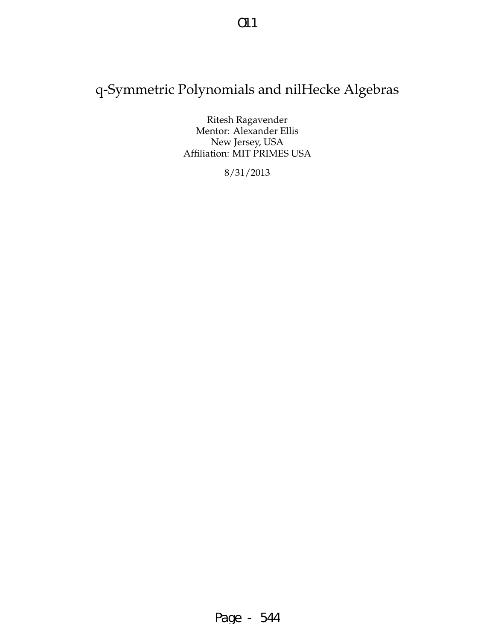# q-Symmetric Polynomials and nilHecke Algebras

Ritesh Ragavender Mentor: Alexander Ellis New Jersey, USA Affiliation: MIT PRIMES USA

8/31/2013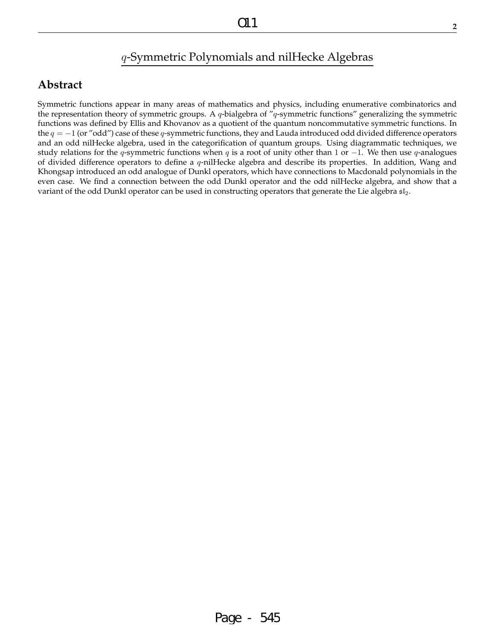# q-Symmetric Polynomials and nilHecke Algebras

## **Abstract**

Symmetric functions appear in many areas of mathematics and physics, including enumerative combinatorics and the representation theory of symmetric groups. A  $q$ -bialgebra of " $q$ -symmetric functions" generalizing the symmetric functions was defined by Ellis and Khovanov as a quotient of the quantum noncommutative symmetric functions. In the  $q = -1$  (or "odd") case of these q-symmetric functions, they and Lauda introduced odd divided difference operators and an odd nilHecke algebra, used in the categorification of quantum groups. Using diagrammatic techniques, we study relations for the q-symmetric functions when q is a root of unity other than 1 or  $-1$ . We then use q-analogues of divided difference operators to define a  $q$ -nilHecke algebra and describe its properties. In addition, Wang and Khongsap introduced an odd analogue of Dunkl operators, which have connections to Macdonald polynomials in the even case. We find a connection between the odd Dunkl operator and the odd nilHecke algebra, and show that a variant of the odd Dunkl operator can be used in constructing operators that generate the Lie algebra  $\mathfrak{sl}_2$ .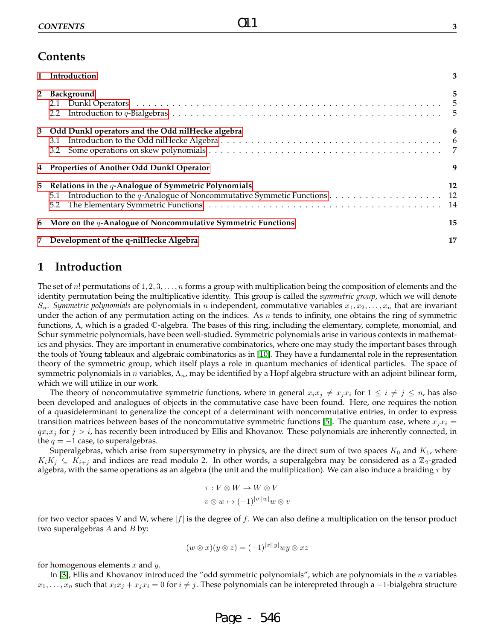|              | 1 Introduction                                                                                                                                  |    |
|--------------|-------------------------------------------------------------------------------------------------------------------------------------------------|----|
| $\mathbf{2}$ | Background                                                                                                                                      | 5  |
|              | 3 Odd Dunkl operators and the Odd nilHecke algebra                                                                                              | 6  |
|              |                                                                                                                                                 |    |
|              | 4 Properties of Another Odd Dunkl Operator                                                                                                      | 9  |
| 5            | Relations in the $q$ -Analogue of Symmetric Polynomials<br>Introduction to the q-Analogue of Noncommutative Symmetic Functions 12<br>5.1<br>5.2 | 12 |
|              | 6 More on the $q$ -Analogue of Noncommutative Symmetric Functions                                                                               | 15 |

 $O<sub>1</sub>1$ 

### **1 Introduction**

The set of n! permutations of  $1, 2, 3, \ldots, n$  forms a group with multiplication being the composition of elements and the identity permutation being the multiplicative identity. This group is called the *symmetric group*, which we will denote  $S_n$ . *Symmetric polynomials* are polynomials in n independent, commutative variables  $x_1, x_2, \ldots, x_n$  that are invariant under the action of any permutation acting on the indices. As  $n$  tends to infinity, one obtains the ring of symmetric functions, Λ, which is a graded C-algebra. The bases of this ring, including the elementary, complete, monomial, and Schur symmetric polynomials, have been well-studied. Symmetric polynomials arise in various contexts in mathematics and physics. They are important in enumerative combinatorics, where one may study the important bases through the tools of Young tableaux and algebraic combinatorics as in [10]. They have a fundamental role in the representation theory of the symmetric group, which itself plays a role in quantum mechanics of identical particles. The space of symmetric polynomials in *n* variables,  $\Lambda_n$ , may be identified by a Hopf algebra structure with an adjoint bilinear form, which we will utilize in our work.

The theory of noncommutative symmetric functions, where in general  $x_ix_j \neq x_ix_i$  for  $1 \leq i \neq j \leq n$ , has also been developed and analogues of objects in the commutative case have been found. Here, one requires the notion of a quasideterminant to generalize the concept of a determinant with noncommutative entries, in order to express transition matrices between bases of the noncommutative symmetric functions [5]. The quantum case, where  $x_ix_i =$  $q_{x_ix_j}$  for  $j > i$ , has recently been introduced by Ellis and Khovanov. These polynomials are inherently connected, in the  $q = -1$  case, to superalgebras.

Superalgebras, which arise from supersymmetry in physics, are the direct sum of two spaces  $K_0$  and  $K_1$ , where  $K_iK_j \subseteq K_{i+j}$  and indices are read modulo 2. In other words, a superalgebra may be considered as a  $\mathbb{Z}_2$ -graded algebra, with the same operations as an algebra (the unit and the multiplication). We can also induce a braiding  $\tau$  by

$$
\tau: V \otimes W \to W \otimes V
$$

$$
v \otimes w \mapsto (-1)^{|v||w|} w \otimes v
$$

for two vector spaces V and W, where  $|f|$  is the degree of f. We can also define a multiplication on the tensor product two superalgebras  $A$  and  $B$  by:

$$
(w \otimes x)(y \otimes z) = (-1)^{|x||y|} wy \otimes xz
$$

for homogenous elements  $x$  and  $y$ .

In [3], Ellis and Khovanov introduced the "odd symmetric polynomials", which are polynomials in the  $n$  variables  $x_1, \ldots, x_n$  such that  $x_ix_j + x_jx_i = 0$  for  $i \neq j$ . These polynomials can be interepreted through a -1-bialgebra structure

Page - 546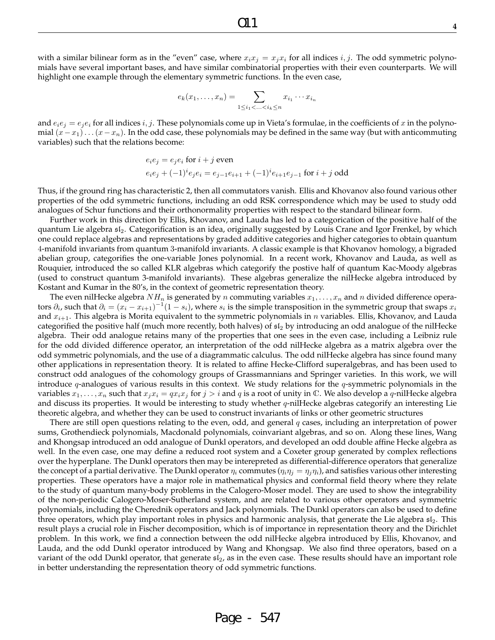with a similar bilinear form as in the "even" case, where  $x_ix_j = x_jx_i$  for all indices i, j. The odd symmetric polynomials have several important bases, and have similar combinatorial properties with their even counterparts. We will highlight one example through the elementary symmetric functions. In the even case,

$$
e_k(x_1,\ldots,x_n)=\sum_{1\leq i_1<\ldots
$$

and  $e_ie_j = e_ie_i$  for all indices i, j. These polynomials come up in Vieta's formulae, in the coefficients of x in the polynomial  $(x-x_1)...(x-x_n)$ . In the odd case, these polynomials may be defined in the same way (but with anticommuting variables) such that the relations become:

$$
e_i e_j = e_j e_i
$$
 for  $i + j$  even  
\n $e_i e_j + (-1)^i e_j e_i = e_{j-1} e_{i+1} + (-1)^i e_{i+1} e_{j-1}$  for  $i + j$  odd

Thus, if the ground ring has characteristic 2, then all commutators vanish. Ellis and Khovanov also found various other properties of the odd symmetric functions, including an odd RSK correspondence which may be used to study odd analogues of Schur functions and their orthonormality properties with respect to the standard bilinear form.

Further work in this direction by Ellis, Khovanov, and Lauda has led to a categorication of the positive half of the quantum Lie algebra sl2. Categorification is an idea, originally suggested by Louis Crane and Igor Frenkel, by which one could replace algebras and representations by graded additive categories and higher categories to obtain quantum 4-manifold invariants from quantum 3-manifold invariants. A classic example is that Khovanov homology, a bigraded abelian group, categorifies the one-variable Jones polynomial. In a recent work, Khovanov and Lauda, as well as Rouquier, introduced the so called KLR algebras which categorify the postive half of quantum Kac-Moody algebras (used to construct quantum 3-manifold invariants). These algebras generalize the nilHecke algebra introduced by Kostant and Kumar in the 80's, in the context of geometric representation theory.

The even nilHecke algebra  $NH_n$  is generated by n commuting variables  $x_1, \ldots, x_n$  and n divided difference operators  $\partial_i$ , such that  $\partial_i = (x_i - x_{i+1})^{-1}(1 - s_i)$ , where  $s_i$  is the simple transposition in the symmetric group that swaps  $x_i$ and  $x_{i+1}$ . This algebra is Morita equivalent to the symmetric polynomials in n variables. Ellis, Khovanov, and Lauda categorified the positive half (much more recently, both halves) of  $sI_2$  by introducing an odd analogue of the nilHecke algebra. Their odd analogue retains many of the properties that one sees in the even case, including a Leibniz rule for the odd divided difference operator, an interpretation of the odd nilHecke algebra as a matrix algebra over the odd symmetric polynomials, and the use of a diagrammatic calculus. The odd nilHecke algebra has since found many other applications in representation theory. It is related to affine Hecke-Clifford superalgebras, and has been used to construct odd analogues of the cohomology groups of Grassmannians and Springer varieties. In this work, we will introduce  $q$ -analogues of various results in this context. We study relations for the  $q$ -symmetric polynomials in the variables  $x_1, \ldots, x_n$  such that  $x_jx_i = qx_ix_j$  for  $j > i$  and q is a root of unity in  $\mathbb C$ . We also develop a q-nilHecke algebra and discuss its properties. It would be interesting to study whether  $q$ -nilHecke algebras categorify an interesting Lie theoretic algebra, and whether they can be used to construct invariants of links or other geometric structures

There are still open questions relating to the even, odd, and general q cases, including an interpretation of power sums, Grothendieck polynomials, Macdonald polynomials, coinvariant algebras, and so on. Along these lines, Wang and Khongsap introduced an odd analogue of Dunkl operators, and developed an odd double affine Hecke algebra as well. In the even case, one may define a reduced root system and a Coxeter group generated by complex reflections over the hyperplane. The Dunkl operators then may be interepreted as differential-difference operators that generalize the concept of a partial derivative. The Dunkl operator  $\eta_i$  commutes  $(\eta_i\eta_j=\eta_j\eta_i)$ , and satisfies various other interesting properties. These operators have a major role in mathematical physics and conformal field theory where they relate to the study of quantum many-body problems in the Calogero-Moser model. They are used to show the integrability of the non-periodic Calogero-Moser-Sutherland system, and are related to various other operators and symmetric polynomials, including the Cherednik operators and Jack polynomials. The Dunkl operators can also be used to define three operators, which play important roles in physics and harmonic analysis, that generate the Lie algebra  $\mathfrak{sl}_2$ . This result plays a crucial role in Fischer decomposition, which is of importance in representation theory and the Dirichlet problem. In this work, we find a connection between the odd nilHecke algebra introduced by Ellis, Khovanov, and Lauda, and the odd Dunkl operator introduced by Wang and Khongsap. We also find three operators, based on a variant of the odd Dunkl operator, that generate  $s_{2}$ , as in the even case. These results should have an important role in better understanding the representation theory of odd symmetric functions.

Page - 547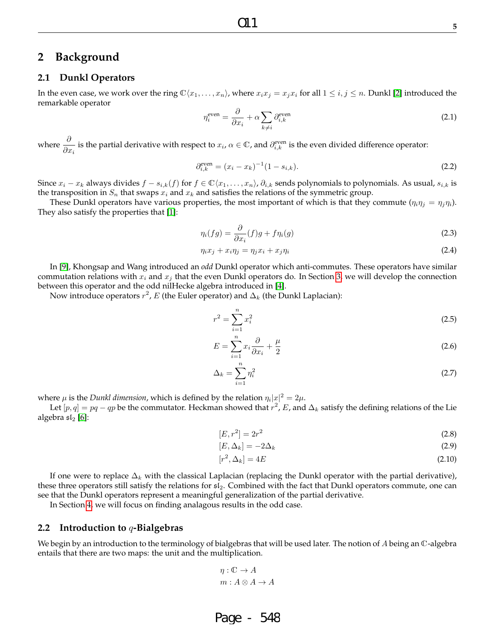### **2 Background**

### **2.1 Dunkl Operators**

In the even case, we work over the ring  $\mathbb{C}\langle x_1,\ldots,x_n\rangle$ , where  $x_ix_j = x_jx_i$  for all  $1 \leq i,j \leq n$ . Dunkl [2] introduced the remarkable operator

$$
\eta_i^{\text{even}} = \frac{\partial}{\partial x_i} + \alpha \sum_{k \neq i} \partial_{i,k}^{\text{even}} \tag{2.1}
$$

where  $\frac{\partial}{\partial x_i}$  is the partial derivative with respect to  $x_i$ ,  $\alpha \in \mathbb{C}$ , and  $\partial_{i,k}^{\text{even}}$  is the even divided difference operator:

$$
\partial_{i,k}^{\text{even}} = (x_i - x_k)^{-1} (1 - s_{i,k}). \tag{2.2}
$$

Since  $x_i - x_k$  always divides  $f - s_{i,k}(f)$  for  $f \in \mathbb{C}\langle x_1, \ldots, x_n \rangle$ ,  $\partial_{i,k}$  sends polynomials to polynomials. As usual,  $s_{i,k}$  is the transposition in  $S_n$  that swaps  $x_i$  and  $x_k$  and satisfies the relations of the symmetric group.

These Dunkl operators have various properties, the most important of which is that they commute  $(\eta_i \eta_j = \eta_j \eta_i)$ . They also satisfy the properties that [1]:

$$
\eta_i(fg) = \frac{\partial}{\partial x_i}(f)g + f\eta_i(g) \tag{2.3}
$$

$$
\eta_i x_j + x_i \eta_j = \eta_j x_i + x_j \eta_i \tag{2.4}
$$

In [9], Khongsap and Wang introduced an *odd* Dunkl operator which anti-commutes. These operators have similar commutation relations with  $x_i$  and  $x_j$  that the even Dunkl operators do. In Section 3, we will develop the connection between this operator and the odd nilHecke algebra introduced in [4].

Now introduce operators  $r^2$ ,  $E$  (the Euler operator) and  $\Delta_k$  (the Dunkl Laplacian):

$$
r^2 = \sum_{i=1}^n x_i^2 \tag{2.5}
$$

$$
E = \sum_{i=1}^{n} x_i \frac{\partial}{\partial x_i} + \frac{\mu}{2}
$$
\n(2.6)

$$
\Delta_k = \sum_{i=1}^n \eta_i^2 \tag{2.7}
$$

where  $\mu$  is the *Dunkl dimension,* which is defined by the relation  $\eta_i |x|^2 = 2 \mu$ .

Let  $[p,q] = pq - qp$  be the commutator. Heckman showed that  $r^2$ , E, and  $\Delta_k$  satisfy the defining relations of the Lie algebra  $\mathfrak{sl}_2$  [6]:

$$
[E, r^2] = 2r^2
$$
\n(2.8)

$$
[E, \Delta_k] = -2\Delta_k \tag{2.9}
$$

$$
[r^2, \Delta_k] = 4E \tag{2.10}
$$

If one were to replace  $\Delta_k$  with the classical Laplacian (replacing the Dunkl operator with the partial derivative), these three operators still satisfy the relations for  $sI_2$ . Combined with the fact that Dunkl operators commute, one can see that the Dunkl operators represent a meaningful generalization of the partial derivative.

In Section 4, we will focus on finding analagous results in the odd case.

#### **2.2 Introduction to** q**-Bialgebras**

We begin by an introduction to the terminology of bialgebras that will be used later. The notion of A being an  $\mathbb C$ -algebra entails that there are two maps: the unit and the multiplication.

$$
\eta: \mathbb{C} \to A
$$
  

$$
m: A \otimes A \to A
$$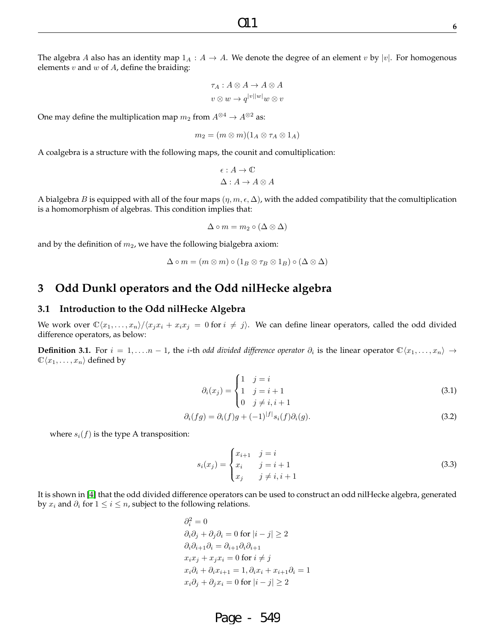The algebra A also has an identity map  $1_A : A \to A$ . We denote the degree of an element v by |v|. For homogenous elements  $v$  and  $w$  of  $A$ , define the braiding:

$$
\tau_A: A \otimes A \to A \otimes A
$$

$$
v \otimes w \to q^{|v||w|} w \otimes v
$$

One may define the multiplication map  $m_2$  from  $A^{\otimes 4} \to A^{\otimes 2}$  as:

$$
m_2 = (m \otimes m)(1_A \otimes \tau_A \otimes 1_A)
$$

A coalgebra is a structure with the following maps, the counit and comultiplication:

$$
\epsilon: A \to \mathbb{C}
$$

$$
\Delta: A \to A \otimes A
$$

A bialgebra B is equipped with all of the four maps  $(\eta, m, \epsilon, \Delta)$ , with the added compatibility that the comultiplication is a homomorphism of algebras. This condition implies that:

$$
\Delta \circ m = m_2 \circ (\Delta \otimes \Delta)
$$

and by the definition of  $m_2$ , we have the following bialgebra axiom:

$$
\Delta \circ m = (m \otimes m) \circ (1_B \otimes \tau_B \otimes 1_B) \circ (\Delta \otimes \Delta)
$$

### **3 Odd Dunkl operators and the Odd nilHecke algebra**

#### **3.1 Introduction to the Odd nilHecke Algebra**

We work over  $\mathbb{C}\langle x_1,\ldots,x_n\rangle/\langle x_ix_i + x_ix_j = 0$  for  $i \neq j$ . We can define linear operators, called the odd divided difference operators, as below:

**Definition 3.1.** For  $i = 1, ..., n - 1$ , the *i*-th *odd divided difference operator*  $\partial_i$  is the linear operator  $\mathbb{C}\langle x_1, ..., x_n \rangle$  →  $\mathbb{C}\langle x_1, \ldots, x_n\rangle$  defined by

$$
\partial_i(x_j) = \begin{cases} 1 & j = i \\ 1 & j = i+1 \\ 0 & j \neq i, i+1 \end{cases} \tag{3.1}
$$

$$
\partial_i(fg) = \partial_i(f)g + (-1)^{|f|} s_i(f)\partial_i(g). \tag{3.2}
$$

where  $s_i(f)$  is the type A transposition:

$$
s_i(x_j) = \begin{cases} x_{i+1} & j = i \\ x_i & j = i+1 \\ x_j & j \neq i, i+1 \end{cases}
$$
 (3.3)

It is shown in [4] that the odd divided difference operators can be used to construct an odd nilHecke algebra, generated by  $x_i$  and  $\partial_i$  for  $1 \leq i \leq n$ , subject to the following relations.

$$
\partial_i^2 = 0
$$
  
\n
$$
\partial_i \partial_j + \partial_j \partial_i = 0 \text{ for } |i - j| \ge 2
$$
  
\n
$$
\partial_i \partial_{i+1} \partial_i = \partial_{i+1} \partial_i \partial_{i+1}
$$
  
\n
$$
x_i x_j + x_j x_i = 0 \text{ for } i \ne j
$$
  
\n
$$
x_i \partial_i + \partial_i x_{i+1} = 1, \partial_i x_i + x_{i+1} \partial_i = 1
$$
  
\n
$$
x_i \partial_j + \partial_j x_i = 0 \text{ for } |i - j| \ge 2
$$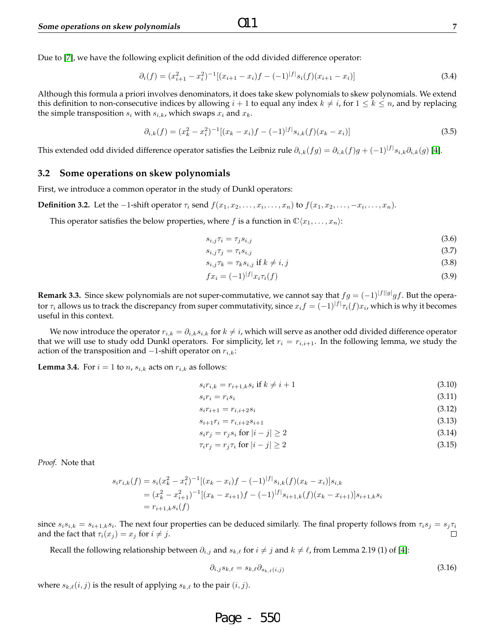Due to [7], we have the following explicit definition of the odd divided difference operator:

$$
\partial_i(f) = (x_{i+1}^2 - x_i^2)^{-1} [(x_{i+1} - x_i)f - (-1)^{|f|} s_i(f)(x_{i+1} - x_i)] \tag{3.4}
$$

Although this formula a priori involves denominators, it does take skew polynomials to skew polynomials. We extend this definition to non-consecutive indices by allowing  $i + 1$  to equal any index  $k \neq i$ , for  $1 \leq k \leq n$ , and by replacing the simple transposition  $s_i$  with  $s_{i,k}$ , which swaps  $x_i$  and  $x_k$ .

 $O<sub>1</sub>1$ 

$$
\partial_{i,k}(f) = (x_k^2 - x_i^2)^{-1} [(x_k - x_i)f - (-1)^{|f|} s_{i,k}(f)(x_k - x_i)] \tag{3.5}
$$

This extended odd divided difference operator satisfies the Leibniz rule  $\partial_{i,k}(fg)=\partial_{i,k}(f)g+(-1)^{|f|}s_{i,k}\partial_{i,k}(g)$  [4].

#### **3.2 Some operations on skew polynomials**

First, we introduce a common operator in the study of Dunkl operators:

**Definition 3.2.** Let the  $-1$ -shift operator  $\tau_i$  send  $f(x_1, x_2, \ldots, x_i, \ldots, x_n)$  to  $f(x_1, x_2, \ldots, -x_i, \ldots, x_n)$ .

This operator satisfies the below properties, where f is a function in  $\mathbb{C}\langle x_1, \ldots, x_n\rangle$ :

$$
s_{i,j}\tau_i = \tau_j s_{i,j} \tag{3.6}
$$

$$
s_{i,j}\tau_j = \tau_i s_{i,j} \tag{3.7}
$$

$$
s_{i,j}\tau_k = \tau_k s_{i,j} \text{ if } k \neq i,j \tag{3.8}
$$

$$
fx_i = (-1)^{|f|} x_i \tau_i(f) \tag{3.9}
$$

**Remark 3.3.** Since skew polynomials are not super-commutative, we cannot say that  $fg = (-1)^{|f||g|}gf$ . But the operator  $\tau_i$  allows us to track the discrepancy from super commutativity, since  $x_if=(-1)^{|f|}\tau_i(f)x_i$ , which is why it becomes useful in this context.

We now introduce the operator  $r_{i,k} = \partial_{i,k} s_{i,k}$  for  $k \neq i$ , which will serve as another odd divided difference operator that we will use to study odd Dunkl operators. For simplicity, let  $r_i = r_{i,i+1}$ . In the following lemma, we study the action of the transposition and  $-1$ -shift operator on  $r_{i,k}$ :

**Lemma 3.4.** For  $i = 1$  to  $n$ ,  $s_{i,k}$  acts on  $r_{i,k}$  as follows:

$$
s_i r_{i,k} = r_{i+1,k} s_i \text{ if } k \neq i+1 \tag{3.10}
$$

$$
s_i r_i = r_i s_i \tag{3.11}
$$

$$
s_i r_{i+1} = r_{i,i+2} s_i \tag{3.12}
$$

$$
s_{i+1}r_i = r_{i,i+2}s_{i+1} \tag{3.13}
$$

$$
s_i r_j = r_j s_i \text{ for } |i - j| \ge 2 \tag{3.14}
$$

$$
\tau_i r_j = r_j \tau_i \text{ for } |i - j| \ge 2 \tag{3.15}
$$

*Proof.* Note that

$$
s_i r_{i,k}(f) = s_i (x_k^2 - x_i^2)^{-1} [(x_k - x_i)f - (-1)^{|f|} s_{i,k}(f)(x_k - x_i)] s_{i,k}
$$
  
=  $(x_k^2 - x_{i+1}^2)^{-1} [(x_k - x_{i+1})f - (-1)^{|f|} s_{i+1,k}(f)(x_k - x_{i+1})] s_{i+1,k} s_i$   
=  $r_{i+1,k} s_i(f)$ 

since  $s_is_{i,k}=s_{i+1,k}s_i$ . The next four properties can be deduced similarly. The final property follows from  $\tau_is_j=s_j\tau_i$ and the fact that  $\tau_i(x_j) = x_j$  for  $i \neq j$ .  $\Box$ 

Recall the following relationship between  $\partial_{i,j}$  and  $s_{k,\ell}$  for  $i \neq j$  and  $k \neq \ell$ , from Lemma 2.19 (1) of [4]:

$$
\partial_{i,j} s_{k,\ell} = s_{k,\ell} \partial_{s_{k,\ell}(i,j)} \tag{3.16}
$$

where  $s_{k,\ell}(i, j)$  is the result of applying  $s_{k,\ell}$  to the pair  $(i, j)$ .

Page - 550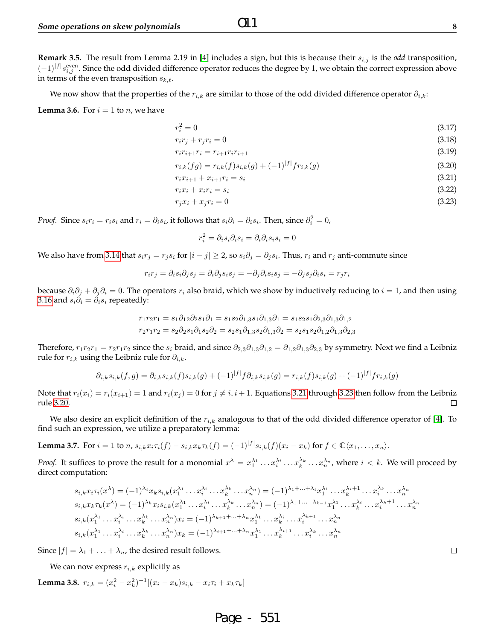**Remark 3.5.** The result from Lemma 2.19 in [4] includes a sign, but this is because their  $s_{i,j}$  is the *odd* transposition,  $(-1)^{|f|} s_{i,j}^{\text{even}}$ . Since the odd divided difference operator reduces the degree by 1, we obtain the correct expression above in terms of the even transposition  $s_{k,\ell}$ .

We now show that the properties of the  $r_{i,k}$  are similar to those of the odd divided difference operator  $\partial_{i,k}$ :

**Lemma 3.6.** For  $i = 1$  to  $n$ , we have

$$
r_i^2 = 0\tag{3.17}
$$

$$
r_i r_j + r_j r_i = 0
$$
\n(3.18)  
\n
$$
r_i r_{i+1} r_i = r_{i+1} r_i r_{i+1}
$$
\n(3.19)

$$
r_{i,k}(fg) = r_{i,k}(f)s_{i,k}(g) + (-1)^{|f|}fr_{i,k}(g)
$$
\n(3.20)

$$
r_i x_{i+1} + x_{i+1} r_i = s_i \tag{3.21}
$$

$$
r_i x_i + x_i r_i = s_i \tag{3.22}
$$

$$
r_j x_i + x_j r_i = 0 \tag{3.23}
$$

*Proof.* Since  $s_i r_i = r_i s_i$  and  $r_i = \partial_i s_i$ , it follows that  $s_i \partial_i = \partial_i s_i$ . Then, since  $\partial_i^2 = 0$ ,

$$
r_i^2 = \partial_i s_i \partial_i s_i = \partial_i \partial_i s_i s_i = 0
$$

We also have from 3.14 that  $s_ir_j=r_js_i$  for  $|i-j|\geq 2$ , so  $s_i\partial_j=\partial_js_i$ . Thus,  $r_i$  and  $r_j$  anti-commute since

$$
r_ir_j=\partial_i s_i\partial_j s_j=\partial_i \partial_j s_i s_j=-\partial_j \partial_i s_i s_j=-\partial_j s_j\partial_i s_i=r_jr_i
$$

because  $\partial_i\partial_j + \partial_j\partial_i = 0$ . The operators  $r_i$  also braid, which we show by inductively reducing to  $i = 1$ , and then using 3.16 and  $s_i\partial_i = \partial_i s_i$  repeatedly:

$$
r_1r_2r_1 = s_1\partial_{12}\partial_2 s_1\partial_1 = s_1s_2\partial_{1,3}s_1\partial_{1,3}\partial_1 = s_1s_2s_1\partial_{2,3}\partial_{1,3}\partial_{1,2}
$$
  

$$
r_2r_1r_2 = s_2\partial_2 s_1\partial_1 s_2\partial_2 = s_2s_1\partial_{1,3}s_2\partial_{1,3}\partial_2 = s_2s_1s_2\partial_{1,2}\partial_{1,3}\partial_{2,3}
$$

Therefore,  $r_1r_2r_1 = r_2r_1r_2$  since the  $s_i$  braid, and since  $\partial_{2,3}\partial_{1,3}\partial_{1,2} = \partial_{1,2}\partial_{1,3}\partial_{2,3}$  by symmetry. Next we find a Leibniz rule for  $r_{i,k}$  using the Leibniz rule for  $\partial_{i,k}$ .

$$
\partial_{i,k} s_{i,k}(f,g) = \partial_{i,k} s_{i,k}(f) s_{i,k}(g) + (-1)^{|f|} f \partial_{i,k} s_{i,k}(g) = r_{i,k}(f) s_{i,k}(g) + (-1)^{|f|} f r_{i,k}(g)
$$

Note that  $r_i(x_i) = r_i(x_{i+1}) = 1$  and  $r_i(x_j) = 0$  for  $j \neq i, i + 1$ . Equations 3.21 through 3.23 then follow from the Leibniz rule 3.20.  $\Box$ 

We also desire an explicit definition of the  $r_{i,k}$  analogous to that of the odd divided difference operator of [4]. To find such an expression, we utilize a preparatory lemma:

**Lemma 3.7.** For 
$$
i = 1
$$
 to  $n$ ,  $s_{i,k}x_i\tau_i(f) - s_{i,k}x_k\tau_k(f) = (-1)^{|f|} s_{i,k}(f)(x_i - x_k)$  for  $f \in \mathbb{C}\langle x_1, \ldots, x_n \rangle$ .

*Proof.* It suffices to prove the result for a monomial  $x^{\lambda} = x_1^{\lambda_1} \dots x_i^{\lambda_i} \dots x_n^{\lambda_n} \dots x_n^{\lambda_n}$ , where  $i < k$ . We will proceed by direct computation:

$$
s_{i,k}x_{i}\tau_{i}(x^{\lambda}) = (-1)^{\lambda_{i}}x_{k}s_{i,k}(x_{1}^{\lambda_{1}}\ldots x_{i}^{\lambda_{i}}\ldots x_{n}^{\lambda_{n}}) = (-1)^{\lambda_{1}+\ldots+\lambda_{i}}x_{1}^{\lambda_{1}}\ldots x_{k}^{\lambda_{i}+1}\ldots x_{i}^{\lambda_{k}}\ldots x_{n}^{\lambda_{n}}
$$
  
\n
$$
s_{i,k}x_{k}\tau_{k}(x^{\lambda}) = (-1)^{\lambda_{k}}x_{i}s_{i,k}(x_{1}^{\lambda_{1}}\ldots x_{i}^{\lambda_{i}}\ldots x_{k}^{\lambda_{k}}\ldots x_{n}^{\lambda_{n}}) = (-1)^{\lambda_{1}+\ldots+\lambda_{k-1}}x_{1}^{\lambda_{1}}\ldots x_{k}^{\lambda_{i}}\ldots x_{i}^{\lambda_{k}+1}\ldots x_{n}^{\lambda_{n}}
$$
  
\n
$$
s_{i,k}(x_{1}^{\lambda_{1}}\ldots x_{i}^{\lambda_{i}}\ldots x_{k}^{\lambda_{k}}\ldots x_{n}^{\lambda_{n}})x_{i} = (-1)^{\lambda_{k+1}+\ldots+\lambda_{n}}x_{1}^{\lambda_{1}}\ldots x_{k}^{\lambda_{i}}\ldots x_{i}^{\lambda_{k}+1}\ldots x_{n}^{\lambda_{n}}
$$
  
\n
$$
s_{i,k}(x_{1}^{\lambda_{1}}\ldots x_{i}^{\lambda_{i}}\ldots x_{k}^{\lambda_{k}}\ldots x_{n}^{\lambda_{n}})x_{k} = (-1)^{\lambda_{i+1}+\ldots+\lambda_{n}}x_{1}^{\lambda_{1}}\ldots x_{k}^{\lambda_{i+1}}\ldots x_{i}^{\lambda_{k}}\ldots x_{n}^{\lambda_{n}}
$$

Since  $|f| = \lambda_1 + \ldots + \lambda_n$ , the desired result follows.

We can now express  $r_{i,k}$  explicitly as

**Lemma 3.8.** 
$$
r_{i,k} = (x_i^2 - x_k^2)^{-1} [(x_i - x_k)s_{i,k} - x_i \tau_i + x_k \tau_k]
$$

Page - 551

 $\Box$ 

 $O<sub>1</sub>1$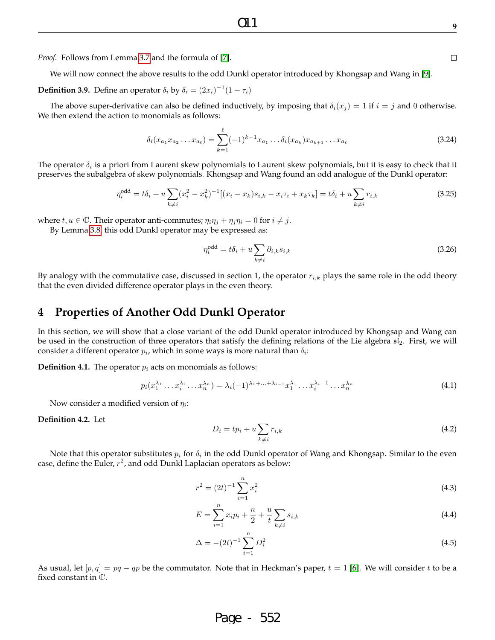We will now connect the above results to the odd Dunkl operator introduced by Khongsap and Wang in [9].

**Definition 3.9.** Define an operator  $\delta_i$  by  $\delta_i = (2x_i)^{-1}(1 - \tau_i)$ 

The above super-derivative can also be defined inductively, by imposing that  $\delta_i(x_i) = 1$  if  $i = j$  and 0 otherwise. We then extend the action to monomials as follows:

$$
\delta_i(x_{a_1}x_{a_2}\dots x_{a_\ell}) = \sum_{k=1}^{\ell} (-1)^{k-1} x_{a_1}\dots \delta_i(x_{a_k}) x_{a_{k+1}}\dots x_{a_\ell}
$$
\n(3.24)

The operator  $\delta_i$  is a priori from Laurent skew polynomials to Laurent skew polynomials, but it is easy to check that it preserves the subalgebra of skew polynomials. Khongsap and Wang found an odd analogue of the Dunkl operator:

$$
\eta_i^{\text{odd}} = t\delta_i + u \sum_{k \neq i} (x_i^2 - x_k^2)^{-1} [(x_i - x_k)s_{i,k} - x_i\tau_i + x_k\tau_k] = t\delta_i + u \sum_{k \neq i} r_{i,k}
$$
(3.25)

where  $t, u \in \mathbb{C}$ . Their operator anti-commutes;  $\eta_i \eta_j + \eta_j \eta_i = 0$  for  $i \neq j$ .

By Lemma 3.8, this odd Dunkl operator may be expressed as:

$$
\eta_i^{\text{odd}} = t\delta_i + u \sum_{k \neq i} \partial_{i,k} s_{i,k} \tag{3.26}
$$

By analogy with the commutative case, discussed in section 1, the operator  $r_{i,k}$  plays the same role in the odd theory that the even divided difference operator plays in the even theory.

### **4 Properties of Another Odd Dunkl Operator**

In this section, we will show that a close variant of the odd Dunkl operator introduced by Khongsap and Wang can be used in the construction of three operators that satisfy the defining relations of the Lie algebra  $s1_2$ . First, we will consider a different operator  $p_i$ , which in some ways is more natural than  $\delta_i$ :

**Definition 4.1.** The operator  $p_i$  acts on monomials as follows:

$$
p_i(x_1^{\lambda_1} \dots x_i^{\lambda_i} \dots x_n^{\lambda_n}) = \lambda_i (-1)^{\lambda_1 + \dots + \lambda_{i-1}} x_1^{\lambda_1} \dots x_i^{\lambda_i - 1} \dots x_n^{\lambda_n}
$$
\n(4.1)

Now consider a modified version of  $\eta_i$ :

**Definition 4.2.** Let

$$
D_i = tp_i + u \sum_{k \neq i} r_{i,k} \tag{4.2}
$$

Note that this operator substitutes  $p_i$  for  $\delta_i$  in the odd Dunkl operator of Wang and Khongsap. Similar to the even case, define the Euler,  $r^2$ , and odd Dunkl Laplacian operators as below:

$$
r^2 = (2t)^{-1} \sum_{i=1}^{n} x_i^2
$$
\n(4.3)

$$
E = \sum_{i=1}^{n} x_i p_i + \frac{n}{2} + \frac{u}{t} \sum_{k \neq i} s_{i,k}
$$
 (4.4)

$$
\Delta = -(2t)^{-1} \sum_{i=1}^{n} D_i^2 \tag{4.5}
$$

As usual, let  $[p, q] = pq - qp$  be the commutator. Note that in Heckman's paper,  $t = 1$  [6]. We will consider t to be a fixed constant in C.

# Page - 552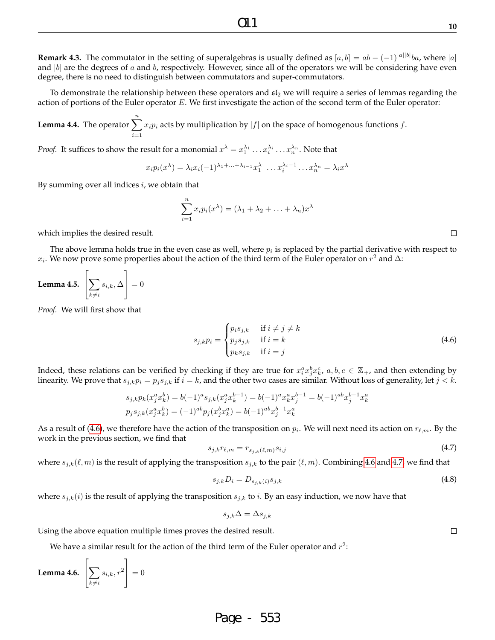**Remark 4.3.** The commutator in the setting of superalgebras is usually defined as  $[a, b] = ab - (-1)^{|a||b|}ba$ , where  $|a|$ and  $|b|$  are the degrees of a and b, respectively. However, since all of the operators we will be considering have even degree, there is no need to distinguish between commutators and super-commutators.

To demonstrate the relationship between these operators and  $sI_2$  we will require a series of lemmas regarding the action of portions of the Euler operator E. We first investigate the action of the second term of the Euler operator:

**Lemma 4.4.** The operator  $\sum_{i}^{n} x_i p_i$  acts by multiplication by  $|f|$  on the space of homogenous functions f.  $i=1$ 

*Proof.* It suffices to show the result for a monomial  $x^{\lambda} = x_1^{\lambda_1} \dots x_i^{\lambda_i} \dots x_n^{\lambda_n}$ . Note that

$$
x_i p_i(x^{\lambda}) = \lambda_i x_i (-1)^{\lambda_1 + \ldots + \lambda_{i-1}} x_1^{\lambda_1} \ldots x_i^{\lambda_i - 1} \ldots x_n^{\lambda_n} = \lambda_i x^{\lambda}
$$

By summing over all indices  $i$ , we obtain that

$$
\sum_{i=1}^{n} x_i p_i(x^{\lambda}) = (\lambda_1 + \lambda_2 + \ldots + \lambda_n) x^{\lambda}
$$

which implies the desired result.

The above lemma holds true in the even case as well, where  $p_i$  is replaced by the partial derivative with respect to  $x_i$ . We now prove some properties about the action of the third term of the Euler operator on  $r^2$  and  $\Delta$ :

**Lemma 4.5.** 
$$
\left[\sum_{k\neq i} s_{i,k}, \Delta\right] = 0
$$

*Proof.* We will first show that

$$
s_{j,k}p_i = \begin{cases} p_i s_{j,k} & \text{if } i \neq j \neq k \\ p_j s_{j,k} & \text{if } i = k \\ p_k s_{j,k} & \text{if } i = j \end{cases}
$$
 (4.6)

Indeed, these relations can be verified by checking if they are true for  $x_i^ax_j^bx_k^c$ ,  $a,b,c \in \mathbb{Z}_+$ , and then extending by linearity. We prove that  $s_{j,k}p_i = p_js_{j,k}$  if  $i = k$ , and the other two cases are similar. Without loss of generality, let  $j < k$ .

$$
s_{j,k}p_k(x_j^ax_k^b) = b(-1)^a s_{j,k}(x_j^ax_k^{b-1}) = b(-1)^a x_k^ax_j^{b-1} = b(-1)^{ab} x_j^{b-1} x_k^a
$$
  

$$
p_j s_{j,k}(x_j^ax_k^b) = (-1)^{ab} p_j(x_j^bx_k^a) = b(-1)^{ab} x_j^{b-1} x_k^a
$$

As a result of (4.6), we therefore have the action of the transposition on  $p_i$ . We will next need its action on  $r_{\ell,m}$ . By the work in the previous section, we find that

$$
s_{j,k}r_{\ell,m}=r_{s_{j,k}(\ell,m)}s_{i,j} \tag{4.7}
$$

where  $s_{j,k}(\ell,m)$  is the result of applying the transposition  $s_{j,k}$  to the pair  $(\ell,m)$ . Combining 4.6 and 4.7, we find that

$$
s_{j,k}D_i = D_{s_{j,k}(i)}s_{j,k}
$$
\n(4.8)

where  $s_{j,k}(i)$  is the result of applying the transposition  $s_{j,k}$  to *i*. By an easy induction, we now have that

$$
s_{j,k}\Delta = \Delta s_{j,k}
$$

Using the above equation multiple times proves the desired result.

We have a similar result for the action of the third term of the Euler operator and  $r^2\mathpunct{:}$ 

**Lemma 4.6.**  $\lceil$  $\sum$  $k\neq i$  $s_{i,k}, r^2$ 1  $\Big| = 0$ 

### Page - 553

 $\Box$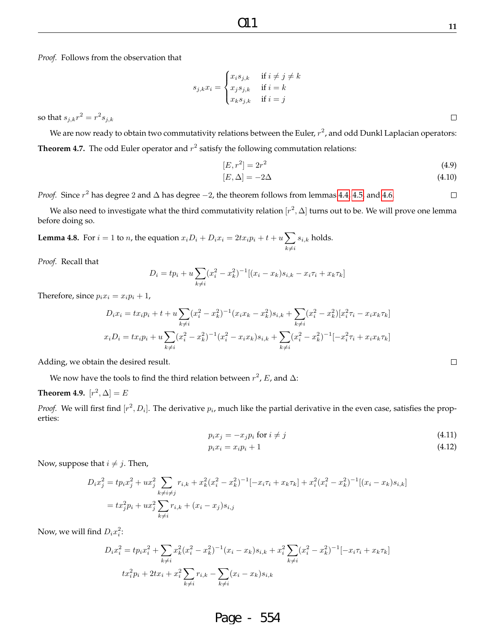*Proof.* Follows from the observation that

$$
s_{j,k}x_i = \begin{cases} x_i s_{j,k} & \text{if } i \neq j \neq k \\ x_j s_{j,k} & \text{if } i = k \\ x_k s_{j,k} & \text{if } i = j \end{cases}
$$

so that  $s_{j,k}r^2 = r^2 s_{j,k}$ 

We are now ready to obtain two commutativity relations between the Euler,  $r^2$ , and odd Dunkl Laplacian operators: **Theorem 4.7.** The odd Euler operator and  $r^2$  satisfy the following commutation relations:

$$
[E, r^2] = 2r^2 \tag{4.9}
$$

$$
[E, \Delta] = -2\Delta \tag{4.10}
$$

*Proof.* Since  $r^2$  has degree 2 and  $\Delta$  has degree  $-2$ , the theorem follows from lemmas 4.4, 4.5, and 4.6.  $\Box$ 

We also need to investigate what the third commutativity relation  $[r^2,\Delta]$  turns out to be. We will prove one lemma before doing so.

**Lemma 4.8.** For  $i = 1$  to n, the equation  $x_i D_i + D_i x_i = 2tx_i p_i + t + u \sum$  $k\neq i$  $s_{i,k}$  holds.

*Proof.* Recall that

$$
D_i = tp_i + u \sum_{k \neq i} (x_i^2 - x_k^2)^{-1} [(x_i - x_k)s_{i,k} - x_i \tau_i + x_k \tau_k]
$$

Therefore, since  $p_i x_i = x_i p_i + 1$ ,

$$
D_i x_i = t x_i p_i + t + u \sum_{k \neq i} (x_i^2 - x_k^2)^{-1} (x_i x_k - x_k^2) s_{i,k} + \sum_{k \neq i} (x_i^2 - x_k^2) [x_i^2 \tau_i - x_i x_k \tau_k]
$$
  

$$
x_i D_i = t x_i p_i + u \sum_{k \neq i} (x_i^2 - x_k^2)^{-1} (x_i^2 - x_i x_k) s_{i,k} + \sum_{k \neq i} (x_i^2 - x_k^2)^{-1} [-x_i^2 \tau_i + x_i x_k \tau_k]
$$

Adding, we obtain the desired result.

We now have the tools to find the third relation between  $r^2$ , E, and  $\Delta$ :

### **Theorem 4.9.**  $[r^2, \Delta] = E$

*Proof.* We will first find  $[r^2, D_i]$ . The derivative  $p_i$ , much like the partial derivative in the even case, satisfies the properties:

$$
p_i x_j = -x_j p_i \text{ for } i \neq j \tag{4.11}
$$

$$
p_i x_i = x_i p_i + 1 \tag{4.12}
$$

Now, suppose that  $i \neq j$ . Then,

$$
D_i x_j^2 = t p_i x_j^2 + u x_j^2 \sum_{k \neq i \neq j} r_{i,k} + x_k^2 (x_i^2 - x_k^2)^{-1} [-x_i \tau_i + x_k \tau_k] + x_i^2 (x_i^2 - x_k^2)^{-1} [(x_i - x_k)s_{i,k}]
$$
  
=  $tx_j^2 p_i + u x_j^2 \sum_{k \neq i} r_{i,k} + (x_i - x_j)s_{i,j}$ 

Now, we will find  $D_i x_i^2$ :

$$
D_i x_i^2 = tp_i x_i^2 + \sum_{k \neq i} x_k^2 (x_i^2 - x_k^2)^{-1} (x_i - x_k) s_{i,k} + x_i^2 \sum_{k \neq i} (x_i^2 - x_k^2)^{-1} [-x_i \tau_i + x_k \tau_k]
$$
  

$$
tx_i^2 p_i + 2tx_i + x_i^2 \sum_{k \neq i} r_{i,k} - \sum_{k \neq i} (x_i - x_k) s_{i,k}
$$

## Page - 554

 $\Box$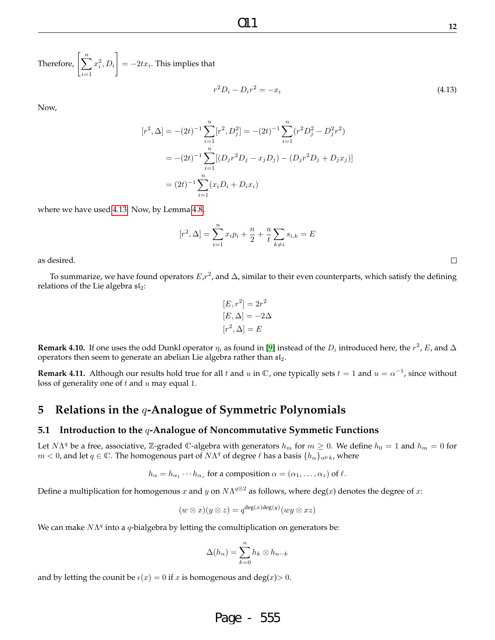Therefore,  $\left[\sum_{n=1}^n\right]$  $i=1$  $x_i^2, D_i$ 1  $=-2tx_i$ . This implies that

$$
r^2 D_i - D_i r^2 = -x_i \tag{4.13}
$$

Now,

$$
[r^2, \Delta] = -(2t)^{-1} \sum_{i=1}^n [r^2, D_j^2] = -(2t)^{-1} \sum_{i=1}^n (r^2 D_j^2 - D_j^2 r^2)
$$
  
= -(2t)^{-1} \sum\_{i=1}^n [(D\_j r^2 D\_j - x\_j D\_j) - (D\_j r^2 D\_j + D\_j x\_j)]  
= (2t)^{-1} \sum\_{i=1}^n (x\_i D\_i + D\_i x\_i)

where we have used 4.13. Now, by Lemma 4.8,

$$
[r^2, \Delta] = \sum_{i=1}^n x_i p_i + \frac{n}{2} + \frac{u}{t} \sum_{k \neq i} s_{i,k} = E
$$

as desired.

To summarize, we have found operators  $E$ , $r^2$ , and  $\Delta$ , similar to their even counterparts, which satisfy the defining relations of the Lie algebra  $\mathfrak{sl}_2$ :

$$
[E, r2] = 2r2
$$

$$
[E, \Delta] = -2\Delta
$$

$$
[r2, \Delta] = E
$$

**Remark 4.10.** If one uses the odd Dunkl operator  $\eta_i$  as found in [9] instead of the  $D_i$  introduced here, the  $r^2$ , E, and  $\Delta$ operators then seem to generate an abelian Lie algebra rather than  $\mathfrak{sl}_2$ .

**Remark 4.11.** Although our results hold true for all t and u in  $\mathbb C$ , one typically sets  $t=1$  and  $u=\alpha^{-1}$ , since without loss of generality one of  $t$  and  $u$  may equal 1.

### **5 Relations in the** q**-Analogue of Symmetric Polynomials**

#### **5.1 Introduction to the** q**-Analogue of Noncommutative Symmetic Functions**

Let  $N\Lambda^q$  be a free, associative, Z-graded  $\mathbb C$ -algebra with generators  $h_m$  for  $m\geq 0$ . We define  $h_0=1$  and  $h_m=0$  for  $m < 0$ , and let  $q \in \mathbb{C}$ . The homogenous part of  $N\Lambda^q$  of degree  $\ell$  has a basis  $\{h_\alpha\}_{\alpha \models k}$ , where

$$
h_{\alpha} = h_{\alpha_1} \cdots h_{\alpha_z}
$$
 for a composition  $\alpha = (\alpha_1, \ldots, \alpha_z)$  of  $\ell$ .

Define a multiplication for homogenous  $x$  and  $y$  on  $N\Lambda^{q\otimes 2}$  as follows, where deg(x) denotes the degree of  $x$ :

$$
(w \otimes x)(y \otimes z) = q^{\deg(x)\deg(y)}(wy \otimes xz)
$$

We can make  $N\Lambda^q$  into a q-bialgebra by letting the comultiplication on generators be:

$$
\Delta(h_n) = \sum_{k=0}^n h_k \otimes h_{n-k}
$$

and by letting the counit be  $\epsilon(x) = 0$  if x is homogenous and deg(x) > 0.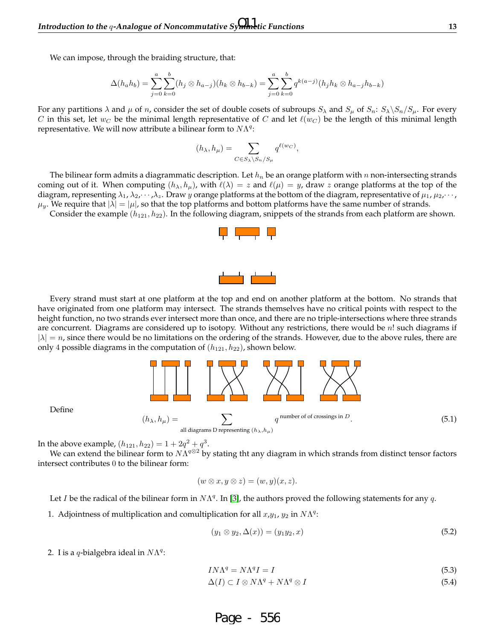We can impose, through the braiding structure, that:

$$
\Delta(h_a h_b) = \sum_{j=0}^{a} \sum_{k=0}^{b} (h_j \otimes h_{a-j})(h_k \otimes h_{b-k}) = \sum_{j=0}^{a} \sum_{k=0}^{b} q^{k(a-j)}(h_j h_k \otimes h_{a-j} h_{b-k})
$$

For any partitions  $\lambda$  and  $\mu$  of n, consider the set of double cosets of subroups  $S_\lambda$  and  $S_\mu$  of  $S_n$ :  $S_\lambda \backslash S_n/S_n$ . For every C in this set, let  $w_C$  be the minimal length representative of C and let  $\ell(w_C)$  be the length of this minimal length representative. We will now attribute a bilinear form to  $N\Lambda^{q}$ :

$$
(h_{\lambda}, h_{\mu}) = \sum_{C \in S_{\lambda} \setminus S_n / S_{\mu}} q^{\ell(w_C)},
$$

The bilinear form admits a diagrammatic description. Let  $h_n$  be an orange platform with n non-intersecting strands coming out of it. When computing  $(h_{\lambda}, h_{\mu})$ , with  $\ell(\lambda) = z$  and  $\ell(\mu) = y$ , draw z orange platforms at the top of the diagram, representing  $\lambda_1, \lambda_2, \dots, \lambda_z$ . Draw y orange platforms at the bottom of the diagram, representative of  $\mu_1, \mu_2, \dots$ ,  $\mu_y$ . We require that  $|\lambda| = |\mu|$ , so that the top platforms and bottom platforms have the same number of strands.

Consider the example  $(h_{121}, h_{22})$ . In the following diagram, snippets of the strands from each platform are shown.

Every strand must start at one platform at the top and end on another platform at the bottom. No strands that have originated from one platform may intersect. The strands themselves have no critical points with respect to the height function, no two strands ever intersect more than once, and there are no triple-intersections where three strands are concurrent. Diagrams are considered up to isotopy. Without any restrictions, there would be  $n!$  such diagrams if  $|\lambda| = n$ , since there would be no limitations on the ordering of the strands. However, due to the above rules, there are only 4 possible diagrams in the computation of  $(h_{121}, h_{22})$ , shown below.



Define

In the above example,  $(h_{121}, h_{22}) = 1 + 2q^2 + q^3$ .

We can extend the bilinear form to  $N\Lambda^{q\otimes 2}$  by stating tht any diagram in which strands from distinct tensor factors intersect contributes 0 to the bilinear form:

$$
(w \otimes x, y \otimes z) = (w, y)(x, z).
$$

Let I be the radical of the bilinear form in  $N\Lambda^q$ . In [3], the authors proved the following statements for any q.

1. Adjointness of multiplication and comultiplication for all  $x, y_1, y_2$  in  $N\Lambda<sup>q</sup>$ :

$$
(y_1 \otimes y_2, \Delta(x)) = (y_1 y_2, x) \tag{5.2}
$$

2. I is a q-bialgebra ideal in  $N\Lambda^q$ :

$$
IN\Lambda^q = N\Lambda^q I = I \tag{5.3}
$$

 $\Delta(I) \subset I \otimes N\Lambda^{q} + N\Lambda$  $q \otimes I$  (5.4)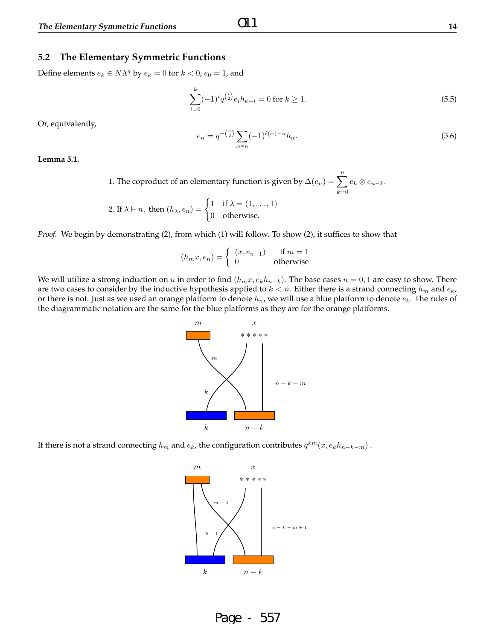#### **5.2 The Elementary Symmetric Functions**

Define elements  $e_k \in N\Lambda^q$  by  $e_k = 0$  for  $k < 0$ ,  $e_0 = 1$ , and

$$
\sum_{i=0}^{k} (-1)^{i} q^{\binom{i}{2}} e_i h_{k-i} = 0 \text{ for } k \ge 1.
$$
 (5.5)

Or, equivalently,

$$
e_n = q^{-\binom{n}{2}} \sum_{\alpha \vDash n} (-1)^{\ell(\alpha)-n} h_{\alpha}.
$$
\n
$$
(5.6)
$$

**Lemma 5.1.**

1. The coproduct of an elementary function is given by  $\Delta(e_n) = \sum_{n=1}^n e_n$  $k=0$  $e_k \otimes e_{n-k}.$ 

2. If 
$$
\lambda \models n
$$
, then  $(h_{\lambda}, e_n) = \begin{cases} 1 & \text{if } \lambda = (1, ..., 1) \\ 0 & \text{otherwise.} \end{cases}$ 

*Proof.* We begin by demonstrating (2), from which (1) will follow. To show (2), it suffices to show that

$$
(h_m x, e_n) = \begin{cases} (x, e_{n-1}) & \text{if } m = 1\\ 0 & \text{otherwise} \end{cases}
$$

We will utilize a strong induction on n in order to find  $(h_mx, e_kh_{n-k})$ . The base cases  $n = 0, 1$  are easy to show. There are two cases to consider by the inductive hypothesis applied to  $k < n$ . Either there is a strand connecting  $h_m$  and  $e_k$ , or there is not. Just as we used an orange platform to denote  $h_n$ , we will use a blue platform to denote  $e_k$ . The rules of the diagrammatic notation are the same for the blue platforms as they are for the orange platforms.



If there is not a strand connecting  $h_m$  and  $e_k$ , the configuration contributes  $q^{km}(x,e_kh_{n-k-m})$  .

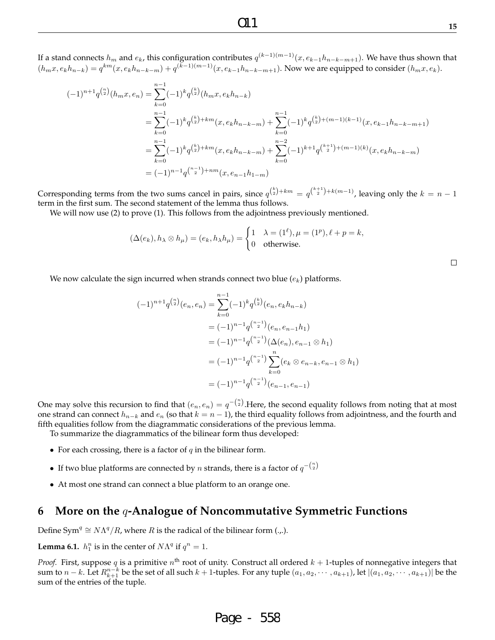If a stand connects  $h_m$  and  $e_k$ , this configuration contributes  $q^{(k-1)(m-1)}(x,e_{k-1}h_{n-k-m+1}).$  We have thus shown that  $(h_mx, e_kh_{n-k}) = q^{km}(x, e_kh_{n-k-m}) + q^{(k-1)(m-1)}(x, e_{k-1}h_{n-k-m+1})$ . Now we are equipped to consider  $(h_mx, e_k)$ .

$$
(-1)^{n+1} q^{\binom{n}{2}}(h_m x, e_n) = \sum_{k=0}^{n-1} (-1)^k q^{\binom{k}{2}}(h_m x, e_k h_{n-k})
$$
  
\n
$$
= \sum_{k=0}^{n-1} (-1)^k q^{\binom{k}{2}+km} (x, e_k h_{n-k-m}) + \sum_{k=0}^{n-1} (-1)^k q^{\binom{k}{2}+(m-1)(k-1)} (x, e_{k-1} h_{n-k-m+1})
$$
  
\n
$$
= \sum_{k=0}^{n-1} (-1)^k q^{\binom{k}{2}+km} (x, e_k h_{n-k-m}) + \sum_{k=0}^{n-2} (-1)^{k+1} q^{\binom{k+1}{2}+(m-1)(k)} (x, e_k h_{n-k-m})
$$
  
\n
$$
= (-1)^{n-1} q^{\binom{n-1}{2}+nm} (x, e_{n-1} h_{1-m})
$$

Corresponding terms from the two sums cancel in pairs, since  $q^{\binom{k}{2}+km} = q^{\binom{k+1}{2}+k(m-1)}$ , leaving only the  $k = n - 1$ term in the first sum. The second statement of the lemma thus follows.

We will now use (2) to prove (1). This follows from the adjointness previously mentioned.

$$
(\Delta(e_k), h_\lambda \otimes h_\mu) = (e_k, h_\lambda h_\mu) = \begin{cases} 1 & \lambda = (1^\ell), \mu = (1^p), \ell + p = k, \\ 0 & \text{otherwise.} \end{cases}
$$

We now calculate the sign incurred when strands connect two blue  $(e_k)$  platforms.

$$
(-1)^{n+1} q^{\binom{n}{2}}(e_n, e_n) = \sum_{k=0}^{n-1} (-1)^k q^{\binom{k}{2}}(e_n, e_k h_{n-k})
$$
  

$$
= (-1)^{n-1} q^{\binom{n-1}{2}}(e_n, e_{n-1} h_1)
$$
  

$$
= (-1)^{n-1} q^{\binom{n-1}{2}} (\Delta(e_n), e_{n-1} \otimes h_1)
$$
  

$$
= (-1)^{n-1} q^{\binom{n-1}{2}} \sum_{k=0}^n (e_k \otimes e_{n-k}, e_{n-1} \otimes h_1)
$$
  

$$
= (-1)^{n-1} q^{\binom{n-1}{2}}(e_{n-1}, e_{n-1})
$$

One may solve this recursion to find that  $(e_n, e_n) = q^{-\binom{n}{2}}$ . Here, the second equality follows from noting that at most one strand can connect  $h_{n-k}$  and  $e_n$  (so that  $k = n - 1$ ), the third equality follows from adjointness, and the fourth and fifth equalities follow from the diagrammatic considerations of the previous lemma.

To summarize the diagrammatics of the bilinear form thus developed:

- For each crossing, there is a factor of  $q$  in the bilinear form.
- If two blue platforms are connected by n strands, there is a factor of  $q^{-\binom{n}{2}}$
- At most one strand can connect a blue platform to an orange one.

### **6 More on the** q**-Analogue of Noncommutative Symmetric Functions**

Define Sym<sup>q</sup>  $\cong N\Lambda^{q}/R$ , where R is the radical of the bilinear form (...).

**Lemma 6.1.**  $h_1^n$  is in the center of  $N\Lambda^q$  if  $q^n = 1$ .

*Proof.* First, suppose  $q$  is a primitive  $n^{\text{th}}$  root of unity. Construct all ordered  $k+1$ -tuples of nonnegative integers that sum to  $n-k$ . Let  $R_{k+1}^{n-k}$  be the set of all such  $k+1$ -tuples. For any tuple  $(a_1, a_2, \dots, a_{k+1})$ , let  $|(a_1, a_2, \dots, a_{k+1})|$  be the sum of the entries of the tuple.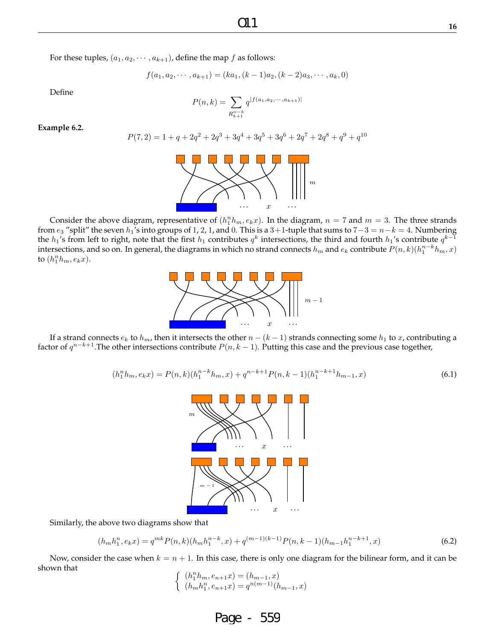For these tuples,  $(a_1, a_2, \dots, a_{k+1})$ , define the map  $f$  as follows:

$$
f(a_1, a_2, \cdots, a_{k+1}) = (ka_1, (k-1)a_2, (k-2)a_3, \cdots, a_k, 0)
$$

 $q^{|f(a_1, a_2, \cdots, a_{k+1})|}$ 

 $P(n, k) = \sum$ 

Define

**Example 6.2.**

$$
P(7,2) = 1 + q + 2q^2 + 2q^3 + 3q^4 + 3q^5 + 3q^6 + 2q^7 + 2q^8 + q^9 + q^{10}
$$

 $R_{k+1}^{n-k}$ 

Consider the above diagram, representative of  $(h_1^n h_m, e_k x)$ . In the diagram,  $n = 7$  and  $m = 3$ . The three strands from  $e_3$  "split" the seven  $h_1$ 's into groups of 1, 2, 1, and 0. This is a 3+1-tuple that sums to  $7-3 = n-k = 4$ . Numbering the  $h_1$ 's from left to right, note that the first  $h_1$  contributes  $q^k$  intersections, the third and fourth  $h_1$ 's contribute  $q^{k-1}$ intersections, and so on. In general, the diagrams in which no strand connects  $h_m$  and  $e_k$  contribute  $P(n,k)(h_1^{n-k}h_m,x)$ to  $(h_1^n h_m, e_k x)$ .

 $\cdots$   $x$   $\cdots$ If a strand connects  $e_k$  to  $h_m$ , then it intersects the other  $n - (k - 1)$  strands connecting some  $h_1$  to x, contributing a factor of  $q^{n-k+1}$ . The other intersections contribute  $P(n, k-1)$ . Putting this case and the previous case together,

$$
(h_1^n h_m, e_k x) = P(n,k)(h_1^{n-k} h_m, x) + q^{n-k+1} P(n, k-1)(h_1^{n-k+1} h_{m-1}, x)
$$
\n
$$
(6.1)
$$

 $m-1$ 



$$
(h_m h_1^n, e_k x) = q^{mk} P(n,k) (h_m h_1^{n-k}, x) + q^{(m-1)(k-1)} P(n,k-1) (h_{m-1} h_1^{n-k+1}, x)
$$
\n
$$
(6.2)
$$

Now, consider the case when  $k = n + 1$ . In this case, there is only one diagram for the bilinear form, and it can be shown that

$$
\left\{\begin{array}{l} (h_1^n h_m, e_{n+1}x) = (h_{m-1}, x) \\ (h_m h_1^n, e_{n+1}x) = q^{n(m-1)}(h_{m-1}, x) \end{array}\right.
$$





Page - 559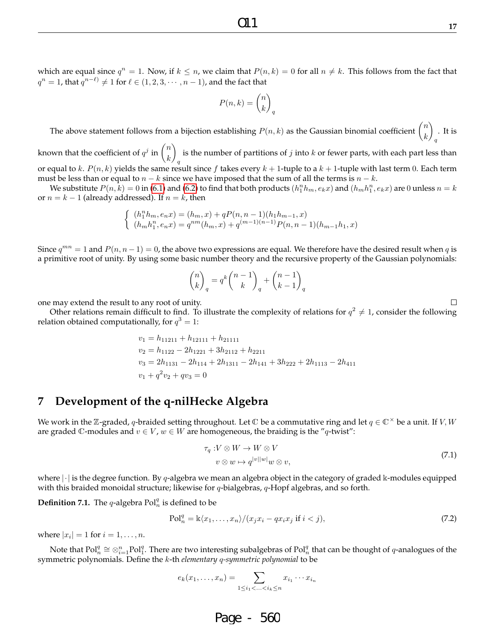which are equal since  $q^n = 1$ . Now, if  $k \leq n$ , we claim that  $P(n, k) = 0$  for all  $n \neq k$ . This follows from the fact that  $q^n = 1$ , that  $q^{n-\ell)} \neq 1$  for  $\ell \in (1, 2, 3, \cdots, n-1)$ , and the fact that

$$
P(n,k) = \binom{n}{k}_q
$$

The above statement follows from a bijection establishing  $P(n, k)$  as the Gaussian binomial coefficient  $\binom{n}{k}$ k  $\setminus$ q . It is

known that the coefficient of  $q^j$  in  $\binom{n}{k}$ k  $\setminus$ q is the number of partitions of  $j$  into  $k$  or fewer parts, with each part less than or equal to k.  $P(n, k)$  yields the same result since f takes every  $k + 1$ -tuple to a  $k + 1$ -tuple with last term 0. Each term

must be less than or equal to  $n - k$  since we have imposed that the sum of all the terms is  $n - k$ .

We substitute  $P(n,\hat{k})=0$  in (6.1) and (6.2) to find that both products  $(h_1^nh_m,e_kx)$  and  $(h_mh_1^n,e_kx)$  are  $0$  unless  $n=k$ or  $n = k - 1$  (already addressed). If  $n = k$ , then

$$
\left\{\begin{array}{l} (h_{1}^{n}h_{m},e_{n}x)=(h_{m},x)+qP(n,n-1)(h_{1}h_{m-1},x)\\ (h_{m}h_{1}^{n},e_{n}x)=q^{nm}(h_{m},x)+q^{(m-1)(n-1)}P(n,n-1)(h_{m-1}h_{1},x)\end{array}\right.
$$

Since  $q^{mn} = 1$  and  $P(n, n - 1) = 0$ , the above two expressions are equal. We therefore have the desired result when q is a primitive root of unity. By using some basic number theory and the recursive property of the Gaussian polynomials:

$$
\binom{n}{k}_q = q^k \binom{n-1}{k}_q + \binom{n-1}{k-1}_q
$$

one may extend the result to any root of unity.

Other relations remain difficult to find. To illustrate the complexity of relations for  $q^2 \neq 1$ , consider the following relation obtained computationally, for  $q^3 = 1$ :

$$
v_1 = h_{11211} + h_{12111} + h_{21111}
$$
  
\n
$$
v_2 = h_{1122} - 2h_{1221} + 3h_{2112} + h_{2211}
$$
  
\n
$$
v_3 = 2h_{1131} - 2h_{114} + 2h_{1311} - 2h_{141} + 3h_{222} + 2h_{1113} - 2h_{411}
$$
  
\n
$$
v_1 + q^2 v_2 + q v_3 = 0
$$

## **7 Development of the q-nilHecke Algebra**

We work in the Z-graded, q-braided setting throughout. Let  $\mathbb C$  be a commutative ring and let  $q\in\mathbb C^{\times}$  be a unit. If V, W are graded  $\mathbb{C}$ -modules and  $v \in V$ ,  $w \in W$  are homogeneous, the braiding is the "q-twist":

$$
\tau_q: V \otimes W \to W \otimes V
$$
  
\n
$$
v \otimes w \mapsto q^{|v||w|} w \otimes v,
$$
\n
$$
(7.1)
$$

where  $|\cdot|$  is the degree function. By q-algebra we mean an algebra object in the category of graded k-modules equipped with this braided monoidal structure; likewise for  $q$ -bialgebras,  $q$ -Hopf algebras, and so forth.

**Definition 7.1.** The  $q$ -algebra  $Pol_n^q$  is defined to be

$$
\text{Pol}_n^q = \mathbb{k}\langle x_1, \dots, x_n \rangle / (x_j x_i - q x_i x_j \text{ if } i < j),\tag{7.2}
$$

where  $|x_i|=1$  for  $i=1,\ldots,n$ .

Note that  $Pol_n^q \cong \otimes_{i=1}^n Pol_1^q$ . There are two interesting subalgebras of  $Pol_n^q$  that can be thought of  $q$ -analogues of the symmetric polynomials. Define the k-th *elementary* q*-symmetric polynomial* to be

$$
e_k(x_1,\ldots,x_n)=\sum_{1\leq i_1<\ldots
$$

Page - 560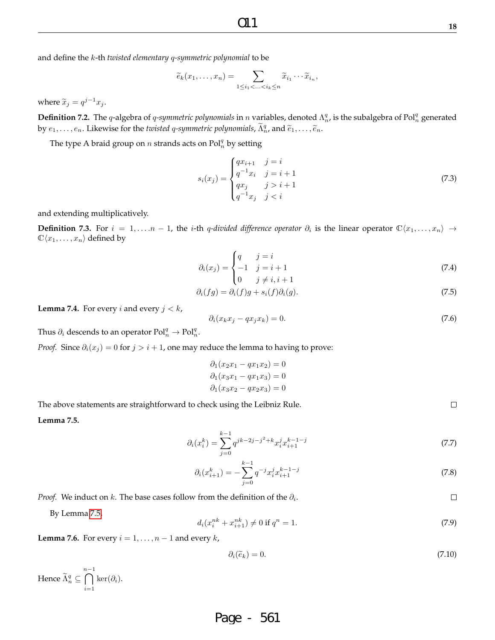$\Box$ 

 $\Box$ 

and define the k-th *twisted elementary* q*-symmetric polynomial* to be

$$
\widetilde{e}_k(x_1,\ldots,x_n)=\sum_{1\leq i_1<\ldots
$$

where  $\widetilde{x}_j = q^{j-1}x_j$ .

**Definition 7.2.** The q-algebra of q-symmetric polynomials in n variables, denoted  $\Lambda_n^q$ , is the subalgebra of Pol $_n^q$  generated by  $e_1, \ldots, e_n$ . Likewise for the *twisted q-symmetric polynomials*,  $\widetilde{\Lambda}_n^q$ , and  $\widetilde{e}_1, \ldots, \widetilde{e}_n$ .

The type A braid group on  $n$  strands acts on  $Pol_n^q$  by setting

$$
s_i(x_j) = \begin{cases} qx_{i+1} & j = i \\ q^{-1}x_i & j = i+1 \\ qx_j & j > i+1 \\ q^{-1}x_j & j < i \end{cases}
$$
 (7.3)

and extending multiplicatively.

**Definition 7.3.** For  $i = 1, \ldots, n - 1$ , the *i*-th q-divided difference operator  $\partial_i$  is the linear operator  $\mathbb{C}\langle x_1, \ldots, x_n \rangle$  →  $\mathbb{C}\langle x_1, \ldots, x_n \rangle$  defined by

$$
\partial_i(x_j) = \begin{cases} q & j = i \\ -1 & j = i + 1 \\ 0 & j \neq i, i + 1 \end{cases}
$$
\n(7.4)

$$
\partial_i(fg) = \partial_i(f)g + s_i(f)\partial_i(g). \tag{7.5}
$$

**Lemma 7.4.** For every *i* and every  $j < k$ ,

$$
\partial_i(x_k x_j - q x_j x_k) = 0. \tag{7.6}
$$

Thus  $\partial_i$  descends to an operator  $Pol_n^q \to Pol_n^q$ .

*Proof.* Since  $\partial_i(x_i) = 0$  for  $j > i + 1$ , one may reduce the lemma to having to prove:

$$
\partial_1(x_2x_1 - qx_1x_2) = 0
$$
  

$$
\partial_1(x_3x_1 - qx_1x_3) = 0
$$
  

$$
\partial_1(x_3x_2 - qx_2x_3) = 0
$$

The above statements are straightforward to check using the Leibniz Rule.

**Lemma 7.5.**

$$
\partial_i(x_i^k) = \sum_{j=0}^{k-1} q^{jk-2j-j^2+k} x_i^j x_{i+1}^{k-1-j} \tag{7.7}
$$

$$
\partial_i(x_{i+1}^k) = -\sum_{j=0}^{k-1} q^{-j} x_i^j x_{i+1}^{k-1-j} \tag{7.8}
$$

*Proof.* We induct on  $k$ . The base cases follow from the definition of the  $\partial_i$ .

By Lemma 7.5,

$$
d_i(x_i^{nk} + x_{i+1}^{nk}) \neq 0 \text{ if } q^n = 1. \tag{7.9}
$$

**Lemma 7.6.** For every  $i = 1, \ldots, n - 1$  and every  $k$ ,

$$
\partial_i(\widetilde{e}_k) = 0. \tag{7.10}
$$

Hence  $\widetilde{\Lambda}_n^q \subseteq$  $\bigcap^{n-1}$  $i=1$  $\ker(\partial_i)$ .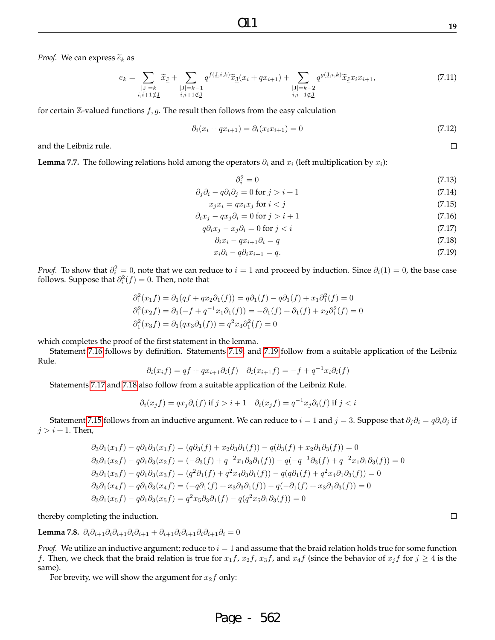*Proof.* We can express  $\tilde{e}_k$  as

$$
e_k = \sum_{\substack{|\underline{\mathbf{J}}|=k \\ i,i+1 \notin \underline{\mathbf{J}}}} \widetilde{x}_{\underline{\mathbf{J}}} + \sum_{\substack{|\underline{\mathbf{J}}|=k-1 \\ i,i+1 \notin \underline{\mathbf{J}}}} q^{f(\underline{\mathbf{J}},i,k)} \widetilde{x}_{\underline{\mathbf{J}}}(x_i + qx_{i+1}) + \sum_{\substack{|\underline{\mathbf{J}}|=k-2 \\ i,i+1 \notin \underline{\mathbf{J}}}} q^{g(\underline{\mathbf{J}},i,k)} \widetilde{x}_{\underline{\mathbf{J}}} x_i x_{i+1}, \tag{7.11}
$$

for certain  $\mathbb Z$ -valued functions  $f, g$ . The result then follows from the easy calculation

$$
\partial_i(x_i + qx_{i+1}) = \partial_i(x_i x_{i+1}) = 0 \tag{7.12}
$$

and the Leibniz rule.

**Lemma 7.7.** The following relations hold among the operators  $\partial_i$  and  $x_i$  (left multiplication by  $x_i$ ):

$$
\partial_i^2 = 0 \tag{7.13}
$$

$$
\partial_j \partial_i - q \partial_i \partial_j = 0 \text{ for } j > i + 1 \tag{7.14}
$$

$$
x_j x_i = q x_i x_j \text{ for } i < j \tag{7.15}
$$

$$
\partial_i x_j - q x_j \partial_i = 0 \text{ for } j > i + 1 \tag{7.16}
$$

$$
q\partial_i x_j - x_j \partial_i = 0 \text{ for } j < i \tag{7.17}
$$

$$
\partial_i x_i - q x_{i+1} \partial_i = q \tag{7.18}
$$

$$
x_i \partial_i - q \partial_i x_{i+1} = q. \tag{7.19}
$$

*Proof.* To show that  $\partial_i^2 = 0$ , note that we can reduce to  $i = 1$  and proceed by induction. Since  $\partial_i(1) = 0$ , the base case follows. Suppose that  $\partial_i^2(f) = 0$ . Then, note that

$$
\partial_1^2(x_1f) = \partial_1(qf + qx_2\partial_1(f)) = q\partial_1(f) - q\partial_1(f) + x_1\partial_1^2(f) = 0
$$
  
\n
$$
\partial_1^2(x_2f) = \partial_1(-f + q^{-1}x_1\partial_1(f)) = -\partial_1(f) + \partial_1(f) + x_2\partial_1^2(f) = 0
$$
  
\n
$$
\partial_1^2(x_3f) = \partial_1(qx_3\partial_1(f)) = q^2x_3\partial_1^2(f) = 0
$$

which completes the proof of the first statement in the lemma.

Statement 7.16 follows by definition. Statements 7.19, and 7.19 follow from a suitable application of the Leibniz Rule.

$$
\partial_i(x_i f) = qf + qx_{i+1}\partial_i(f) \quad \partial_i(x_{i+1} f) = -f + q^{-1}x_i\partial_i(f)
$$

Statements 7.17 and 7.18 also follow from a suitable application of the Leibniz Rule.

$$
\partial_i(x_j f) = qx_j \partial_i(f) \text{ if } j > i+1 \quad \partial_i(x_j f) = q^{-1} x_j \partial_i(f) \text{ if } j < i
$$

Statement 7.15 follows from an inductive argument. We can reduce to  $i = 1$  and  $j = 3$ . Suppose that  $\partial_j \partial_i = q \partial_i \partial_j$  if  $j > i + 1$ . Then,

$$
\partial_3 \partial_1(x_1f) - q \partial_1 \partial_3(x_1f) = (q \partial_3(f) + x_2 \partial_3 \partial_1(f)) - q(\partial_3(f) + x_2 \partial_1 \partial_3(f)) = 0
$$
  
\n
$$
\partial_3 \partial_1(x_2f) - q \partial_1 \partial_3(x_2f) = (-\partial_3(f) + q^{-2}x_1 \partial_3 \partial_1(f)) - q(-q^{-1}\partial_3(f) + q^{-2}x_1 \partial_1 \partial_3(f)) = 0
$$
  
\n
$$
\partial_3 \partial_1(x_3f) - q \partial_1 \partial_3(x_3f) = (q^2 \partial_1(f) + q^2x_4 \partial_3 \partial_1(f)) - q(q \partial_1(f) + q^2x_4 \partial_1 \partial_3(f)) = 0
$$
  
\n
$$
\partial_3 \partial_1(x_4f) - q \partial_1 \partial_3(x_4f) = (-q \partial_1(f) + x_3 \partial_3 \partial_1(f)) - q(-\partial_1(f) + x_3 \partial_1 \partial_3(f)) = 0
$$
  
\n
$$
\partial_3 \partial_1(x_5f) - q \partial_1 \partial_3(x_5f) = q^2x_5 \partial_3 \partial_1(f) - q(q^2x_5 \partial_1 \partial_3(f)) = 0
$$

thereby completing the induction.

Lemma 7.8.  $\partial_i \partial_{i+1} \partial_i \partial_{i+1} \partial_i \partial_{i+1} + \partial_{i+1} \partial_i \partial_{i+1} \partial_i \partial_{i+1} \partial_i = 0$ 

*Proof.* We utilize an inductive argument; reduce to  $i = 1$  and assume that the braid relation holds true for some function f. Then, we check that the braid relation is true for  $x_1f$ ,  $x_2f$ ,  $x_3f$ , and  $x_4f$  (since the behavior of  $x_jf$  for  $j \ge 4$  is the same).

For brevity, we will show the argument for  $x_2f$  only:

## Page - 562

$$
\qquad \qquad \Box
$$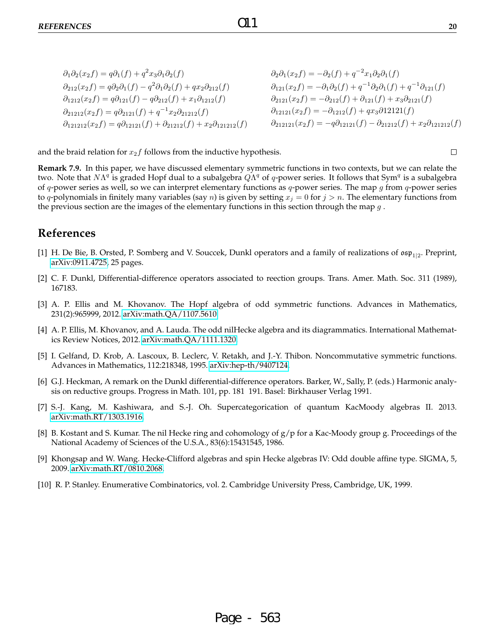| $\partial_1 \partial_2 (x_2 f) = q \partial_1 (f) + q^2 x_3 \partial_1 \partial_2 (f)$                 | $\partial_2 \partial_1(x_2 f) = -\partial_2(f) + q^{-2} x_1 \partial_2 \partial_1(f)$                       |
|--------------------------------------------------------------------------------------------------------|-------------------------------------------------------------------------------------------------------------|
| $\partial_{212}(x_2f) = q\partial_2\partial_1(f) - q^2\partial_1\partial_2(f) + qx_2\partial_{212}(f)$ | $\partial_{121}(x_2f) = -\partial_1\partial_2(f) + q^{-1}\partial_2\partial_1(f) + q^{-1}\partial_{121}(f)$ |
| $\partial_{1212}(x_2f) = q\partial_{121}(f) - q\partial_{212}(f) + x_1\partial_{1212}(f)$              | $\partial_{2121}(x_2f) = -\partial_{212}(f) + \partial_{121}(f) + x_3\partial_{2121}(f)$                    |
| $\partial_{21212}(x_2f) = q\partial_{2121}(f) + q^{-1}x_2\partial_{21212}(f)$                          | $\partial_{12121}(x_2f) = -\partial_{1212}(f) + qx_3\partial_{1212}(f)$                                     |
| $\partial_{121212}(x_2f) = q\partial_{12121}(f) + \partial_{21212}(f) + x_2\partial_{121212}(f)$       | $\partial_{212121}(x_2f) = -q\partial_{12121}(f) - \partial_{21212}(f) + x_2\partial_{121212}(f)$           |

and the braid relation for  $x_2f$  follows from the inductive hypothesis.

**Remark 7.9.** In this paper, we have discussed elementary symmetric functions in two contexts, but we can relate the two. Note that  $N\Lambda^q$  is graded Hopf dual to a subalgebra  $\dot{Q}\Lambda^q$  of q-power series. It follows that Sym<sup>q</sup> is a subalgebra of q-power series as well, so we can interpret elementary functions as  $q$ -power series. The map g from  $q$ -power series to q-polynomials in finitely many variables (say *n*) is given by setting  $x_j = 0$  for  $j > n$ . The elementary functions from the previous section are the images of the elementary functions in this section through the map  $q$ .

### **References**

- [1] H. De Bie, B. Orsted, P. Somberg and V. Souccek, Dunkl operators and a family of realizations of  $\mathfrak{osp}_{1|2}$ . Preprint, [arXiv:0911.4725,](arXiv:0911.4725) 25 pages.
- [2] C. F. Dunkl, Differential-difference operators associated to reection groups. Trans. Amer. Math. Soc. 311 (1989), 167183.
- [3] A. P. Ellis and M. Khovanov. The Hopf algebra of odd symmetric functions. Advances in Mathematics, 231(2):965999, 2012. [arXiv:math.QA/1107.5610.](arXiv:math.QA/1107.5610)
- [4] A. P. Ellis, M. Khovanov, and A. Lauda. The odd nilHecke algebra and its diagrammatics. International Mathematics Review Notices, 2012. [arXiv:math.QA/1111.1320.](arXiv:math.QA/1111.1320)
- [5] I. Gelfand, D. Krob, A. Lascoux, B. Leclerc, V. Retakh, and J.-Y. Thibon. Noncommutative symmetric functions. Advances in Mathematics, 112:218348, 1995. [arXiv:hep-th/9407124.](arXiv:hep-th/9407124)
- [6] G.J. Heckman, A remark on the Dunkl differential-difference operators. Barker, W., Sally, P. (eds.) Harmonic analysis on reductive groups. Progress in Math. 101, pp. 181 191. Basel: Birkhauser Verlag 1991.
- [7] S.-J. Kang, M. Kashiwara, and S.-J. Oh. Supercategorication of quantum KacMoody algebras II. 2013. [arXiv:math.RT/1303.1916.](arXiv:math.RT/1303.1916)
- [8] B. Kostant and S. Kumar. The nil Hecke ring and cohomology of g/p for a Kac-Moody group g. Proceedings of the National Academy of Sciences of the U.S.A., 83(6):15431545, 1986.
- [9] Khongsap and W. Wang. Hecke-Clifford algebras and spin Hecke algebras IV: Odd double affine type. SIGMA, 5, 2009. [arXiv:math.RT/0810.2068.](arXiv:math.RT/0810.2068)
- [10] R. P. Stanley. Enumerative Combinatorics, vol. 2. Cambridge University Press, Cambridge, UK, 1999.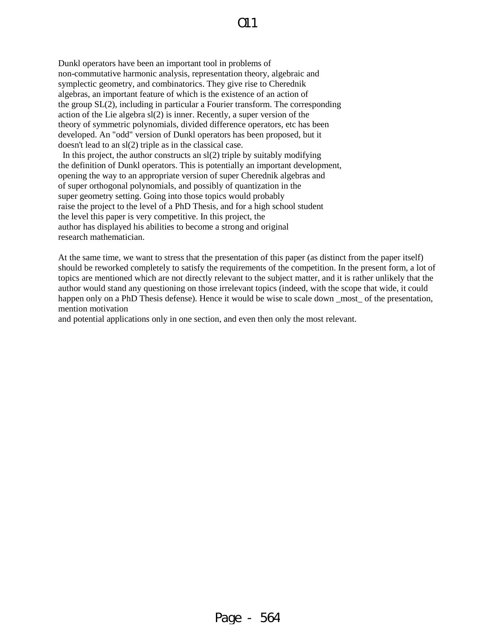Dunkl operators have been an important tool in problems of non-commutative harmonic analysis, representation theory, algebraic and symplectic geometry, and combinatorics. They give rise to Cherednik algebras, an important feature of which is the existence of an action of the group SL(2), including in particular a Fourier transform. The corresponding action of the Lie algebra sl(2) is inner. Recently, a super version of the theory of symmetric polynomials, divided difference operators, etc has been developed. An "odd" version of Dunkl operators has been proposed, but it doesn't lead to an sl(2) triple as in the classical case.

In this project, the author constructs an  $sl(2)$  triple by suitably modifying the definition of Dunkl operators. This is potentially an important development, opening the way to an appropriate version of super Cherednik algebras and of super orthogonal polynomials, and possibly of quantization in the super geometry setting. Going into those topics would probably raise the project to the level of a PhD Thesis, and for a high school student the level this paper is very competitive. In this project, the author has displayed his abilities to become a strong and original research mathematician.

At the same time, we want to stress that the presentation of this paper (as distinct from the paper itself) should be reworked completely to satisfy the requirements of the competition. In the present form, a lot of topics are mentioned which are not directly relevant to the subject matter, and it is rather unlikely that the author would stand any questioning on those irrelevant topics (indeed, with the scope that wide, it could happen only on a PhD Thesis defense). Hence it would be wise to scale down most of the presentation, mention motivation

and potential applications only in one section, and even then only the most relevant.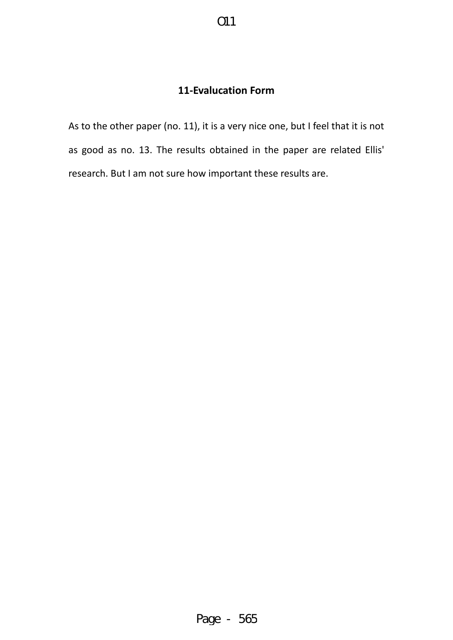# **11-Evalucation Form**

As to the other paper (no. 11), it is a very nice one, but I feel that it is not as good as no. 13. The results obtained in the paper are related Ellis' research. But I am not sure how important these results are.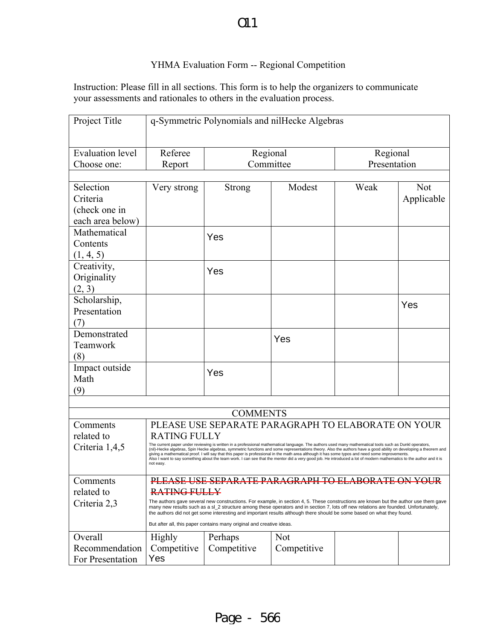# $O11$

## YHMA Evaluation Form -- Regional Competition

Instruction: Please fill in all sections. This form is to help the organizers to communicate your assessments and rationales to others in the evaluation process.

| Project Title                          | q-Symmetric Polynomials and nilHecke Algebras                                                                                                                                                                                                                                                                                                                                                                                                                                                                                                                                                                                                                     |                                                                      |             |                          |            |  |
|----------------------------------------|-------------------------------------------------------------------------------------------------------------------------------------------------------------------------------------------------------------------------------------------------------------------------------------------------------------------------------------------------------------------------------------------------------------------------------------------------------------------------------------------------------------------------------------------------------------------------------------------------------------------------------------------------------------------|----------------------------------------------------------------------|-------------|--------------------------|------------|--|
| <b>Evaluation</b> level<br>Choose one: | Referee<br>Report                                                                                                                                                                                                                                                                                                                                                                                                                                                                                                                                                                                                                                                 | Regional<br>Committee                                                |             | Regional<br>Presentation |            |  |
|                                        |                                                                                                                                                                                                                                                                                                                                                                                                                                                                                                                                                                                                                                                                   |                                                                      |             |                          |            |  |
| Selection                              | Very strong                                                                                                                                                                                                                                                                                                                                                                                                                                                                                                                                                                                                                                                       | Strong                                                               | Modest      | Weak                     | <b>Not</b> |  |
| Criteria                               |                                                                                                                                                                                                                                                                                                                                                                                                                                                                                                                                                                                                                                                                   |                                                                      |             |                          | Applicable |  |
| (check one in                          |                                                                                                                                                                                                                                                                                                                                                                                                                                                                                                                                                                                                                                                                   |                                                                      |             |                          |            |  |
| each area below)                       |                                                                                                                                                                                                                                                                                                                                                                                                                                                                                                                                                                                                                                                                   |                                                                      |             |                          |            |  |
| Mathematical                           |                                                                                                                                                                                                                                                                                                                                                                                                                                                                                                                                                                                                                                                                   | Yes                                                                  |             |                          |            |  |
| Contents                               |                                                                                                                                                                                                                                                                                                                                                                                                                                                                                                                                                                                                                                                                   |                                                                      |             |                          |            |  |
| (1, 4, 5)                              |                                                                                                                                                                                                                                                                                                                                                                                                                                                                                                                                                                                                                                                                   |                                                                      |             |                          |            |  |
| Creativity,                            |                                                                                                                                                                                                                                                                                                                                                                                                                                                                                                                                                                                                                                                                   | Yes                                                                  |             |                          |            |  |
| Originality                            |                                                                                                                                                                                                                                                                                                                                                                                                                                                                                                                                                                                                                                                                   |                                                                      |             |                          |            |  |
| (2, 3)                                 |                                                                                                                                                                                                                                                                                                                                                                                                                                                                                                                                                                                                                                                                   |                                                                      |             |                          |            |  |
| Scholarship,                           |                                                                                                                                                                                                                                                                                                                                                                                                                                                                                                                                                                                                                                                                   |                                                                      |             |                          | Yes        |  |
| Presentation                           |                                                                                                                                                                                                                                                                                                                                                                                                                                                                                                                                                                                                                                                                   |                                                                      |             |                          |            |  |
| (7)                                    |                                                                                                                                                                                                                                                                                                                                                                                                                                                                                                                                                                                                                                                                   |                                                                      |             |                          |            |  |
| Demonstrated                           |                                                                                                                                                                                                                                                                                                                                                                                                                                                                                                                                                                                                                                                                   |                                                                      |             |                          |            |  |
| Teamwork                               |                                                                                                                                                                                                                                                                                                                                                                                                                                                                                                                                                                                                                                                                   |                                                                      | Yes         |                          |            |  |
| (8)                                    |                                                                                                                                                                                                                                                                                                                                                                                                                                                                                                                                                                                                                                                                   |                                                                      |             |                          |            |  |
| Impact outside                         |                                                                                                                                                                                                                                                                                                                                                                                                                                                                                                                                                                                                                                                                   |                                                                      |             |                          |            |  |
| Math                                   |                                                                                                                                                                                                                                                                                                                                                                                                                                                                                                                                                                                                                                                                   | Yes                                                                  |             |                          |            |  |
| (9)                                    |                                                                                                                                                                                                                                                                                                                                                                                                                                                                                                                                                                                                                                                                   |                                                                      |             |                          |            |  |
|                                        |                                                                                                                                                                                                                                                                                                                                                                                                                                                                                                                                                                                                                                                                   |                                                                      |             |                          |            |  |
| <b>COMMENTS</b>                        |                                                                                                                                                                                                                                                                                                                                                                                                                                                                                                                                                                                                                                                                   |                                                                      |             |                          |            |  |
| Comments                               |                                                                                                                                                                                                                                                                                                                                                                                                                                                                                                                                                                                                                                                                   |                                                                      |             |                          |            |  |
| related to                             | PLEASE USE SEPARATE PARAGRAPH TO ELABORATE ON YOUR<br><b>RATING FULLY</b>                                                                                                                                                                                                                                                                                                                                                                                                                                                                                                                                                                                         |                                                                      |             |                          |            |  |
| Criteria 1,4,5                         | The current paper under reviewing is written in a professional mathematical language. The authors used many mathematical tools such as Dunkl operators,<br>(nil)-Hecke algebras, Spin Hecke algebras, symmetric functions and some representations theory. Also the authors have a good ability on developing a theorem and<br>giving a mathematical proof. I will say that this paper is professional in the math area although it has some typos and need some improvements.<br>Also I want to say something about the team work. I can see that the mentor did a very good job. He introduced a lot of modern mathematics to the author and it is<br>not easy. |                                                                      |             |                          |            |  |
| Comments                               | PLEASE USE SEPARATE PARAGRAPH TO ELABORATE ON YOUR                                                                                                                                                                                                                                                                                                                                                                                                                                                                                                                                                                                                                |                                                                      |             |                          |            |  |
| related to                             | RATING FULLY                                                                                                                                                                                                                                                                                                                                                                                                                                                                                                                                                                                                                                                      |                                                                      |             |                          |            |  |
| Criteria 2,3                           | The authors gave several new constructions. For example, in section 4, 5. These constructions are known but the author use them gave<br>many new results such as a sl_2 structure among these operators and in section 7, lots off new relations are founded. Unfortunately,<br>the authors did not get some interesting and important results although there should be some based on what they found.                                                                                                                                                                                                                                                            |                                                                      |             |                          |            |  |
|                                        |                                                                                                                                                                                                                                                                                                                                                                                                                                                                                                                                                                                                                                                                   | But after all, this paper contains many original and creative ideas. |             |                          |            |  |
| Overall                                | Highly                                                                                                                                                                                                                                                                                                                                                                                                                                                                                                                                                                                                                                                            | Perhaps                                                              | <b>Not</b>  |                          |            |  |
| Recommendation                         | Competitive                                                                                                                                                                                                                                                                                                                                                                                                                                                                                                                                                                                                                                                       | Competitive                                                          | Competitive |                          |            |  |
| For Presentation                       | Yes                                                                                                                                                                                                                                                                                                                                                                                                                                                                                                                                                                                                                                                               |                                                                      |             |                          |            |  |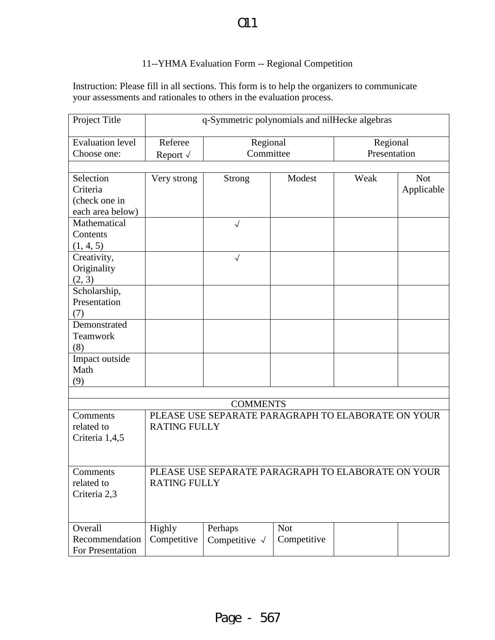# $O11$

## 11--YHMA Evaluation Form -- Regional Competition

Instruction: Please fill in all sections. This form is to help the organizers to communicate your assessments and rationales to others in the evaluation process.

| Project Title<br>q-Symmetric polynomials and nilHecke algebras |                                                    |                                                    |             |              |            |
|----------------------------------------------------------------|----------------------------------------------------|----------------------------------------------------|-------------|--------------|------------|
| <b>Evaluation level</b>                                        | Referee                                            | Regional                                           |             | Regional     |            |
| Choose one:                                                    | Report $\sqrt{}$                                   | Committee                                          |             | Presentation |            |
|                                                                |                                                    |                                                    |             |              |            |
| Selection                                                      | Very strong                                        | <b>Strong</b>                                      | Modest      | Weak         | <b>Not</b> |
| Criteria                                                       |                                                    |                                                    |             |              | Applicable |
| (check one in                                                  |                                                    |                                                    |             |              |            |
| each area below)                                               |                                                    |                                                    |             |              |            |
| Mathematical                                                   |                                                    | $\sqrt{ }$                                         |             |              |            |
| Contents                                                       |                                                    |                                                    |             |              |            |
| (1, 4, 5)                                                      |                                                    |                                                    |             |              |            |
| Creativity,                                                    |                                                    | $\sqrt{ }$                                         |             |              |            |
| Originality                                                    |                                                    |                                                    |             |              |            |
| (2, 3)                                                         |                                                    |                                                    |             |              |            |
| Scholarship,                                                   |                                                    |                                                    |             |              |            |
| Presentation                                                   |                                                    |                                                    |             |              |            |
| (7)                                                            |                                                    |                                                    |             |              |            |
| Demonstrated                                                   |                                                    |                                                    |             |              |            |
| Teamwork                                                       |                                                    |                                                    |             |              |            |
| (8)                                                            |                                                    |                                                    |             |              |            |
| Impact outside                                                 |                                                    |                                                    |             |              |            |
| Math                                                           |                                                    |                                                    |             |              |            |
| (9)                                                            |                                                    |                                                    |             |              |            |
|                                                                |                                                    |                                                    |             |              |            |
| <b>COMMENTS</b>                                                |                                                    |                                                    |             |              |            |
| Comments                                                       |                                                    | PLEASE USE SEPARATE PARAGRAPH TO ELABORATE ON YOUR |             |              |            |
| related to                                                     | <b>RATING FULLY</b>                                |                                                    |             |              |            |
| Criteria 1,4,5                                                 |                                                    |                                                    |             |              |            |
|                                                                |                                                    |                                                    |             |              |            |
|                                                                |                                                    |                                                    |             |              |            |
| Comments                                                       | PLEASE USE SEPARATE PARAGRAPH TO ELABORATE ON YOUR |                                                    |             |              |            |
| related to                                                     | <b>RATING FULLY</b>                                |                                                    |             |              |            |
| Criteria 2,3                                                   |                                                    |                                                    |             |              |            |
|                                                                |                                                    |                                                    |             |              |            |
|                                                                |                                                    |                                                    |             |              |            |
| Overall                                                        | Highly                                             | Perhaps                                            | <b>Not</b>  |              |            |
| Recommendation                                                 | Competitive                                        | Competitive $\sqrt{}$                              | Competitive |              |            |
| For Presentation                                               |                                                    |                                                    |             |              |            |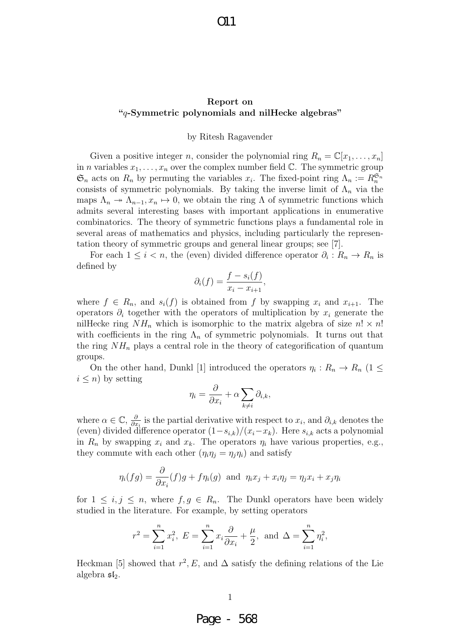### Report on "q-Symmetric polynomials and nilHecke algebras"

### by Ritesh Ragavender

Given a positive integer n, consider the polynomial ring  $R_n = \mathbb{C}[x_1, \ldots, x_n]$ in *n* variables  $x_1, \ldots, x_n$  over the complex number field  $\mathbb{C}$ . The symmetric group  $\mathfrak{S}_n$  acts on  $R_n$  by permuting the variables  $x_i$ . The fixed-point ring  $\Lambda_n := R_n^{\mathfrak{S}_n}$ consists of symmetric polynomials. By taking the inverse limit of  $\Lambda_n$  via the maps  $\Lambda_n \to \Lambda_{n-1}, x_n \mapsto 0$ , we obtain the ring  $\Lambda$  of symmetric functions which admits several interesting bases with important applications in enumerative combinatorics. The theory of symmetric functions plays a fundamental role in several areas of mathematics and physics, including particularly the representation theory of symmetric groups and general linear groups; see [7].

For each  $1 \leq i < n$ , the (even) divided difference operator  $\partial_i : R_n \to R_n$  is defined by

$$
\partial_i(f) = \frac{f - s_i(f)}{x_i - x_{i+1}},
$$

where  $f \in R_n$ , and  $s_i(f)$  is obtained from f by swapping  $x_i$  and  $x_{i+1}$ . The operators  $\partial_i$  together with the operators of multiplication by  $x_i$  generate the nilHecke ring  $NH_n$  which is isomorphic to the matrix algebra of size  $n! \times n!$ with coefficients in the ring  $\Lambda_n$  of symmetric polynomials. It turns out that the ring  $NH_n$  plays a central role in the theory of categorification of quantum groups.

On the other hand, Dunkl [1] introduced the operators  $\eta_i: R_n \to R_n$  (1  $\leq$  $i \leq n$ ) by setting

$$
\eta_i = \frac{\partial}{\partial x_i} + \alpha \sum_{k \neq i} \partial_{i,k},
$$

where  $\alpha \in \mathbb{C}, \frac{\partial}{\partial x}$  $\frac{\partial}{\partial x_i}$  is the partial derivative with respect to  $x_i$ , and  $\partial_{i,k}$  denotes the (even) divided difference operator  $(1-s_{i,k})/(x_i-x_k)$ . Here  $s_{i,k}$  acts a polynomial in  $R_n$  by swapping  $x_i$  and  $x_k$ . The operators  $\eta_i$  have various properties, e.g., they commute with each other  $(\eta_i \eta_j = \eta_j \eta_i)$  and satisfy

$$
\eta_i(fg) = \frac{\partial}{\partial x_i}(f)g + f\eta_i(g) \text{ and } \eta_i x_j + x_i \eta_j = \eta_j x_i + x_j \eta_i
$$

for  $1 \leq i, j \leq n$ , where  $f, g \in R_n$ . The Dunkl operators have been widely studied in the literature. For example, by setting operators

$$
r^{2} = \sum_{i=1}^{n} x_{i}^{2}, E = \sum_{i=1}^{n} x_{i} \frac{\partial}{\partial x_{i}} + \frac{\mu}{2}, \text{ and } \Delta = \sum_{i=1}^{n} \eta_{i}^{2},
$$

Heckman [5] showed that  $r^2$ , E, and  $\Delta$  satisfy the defining relations of the Lie algebra  $\mathfrak{sl}_2$ .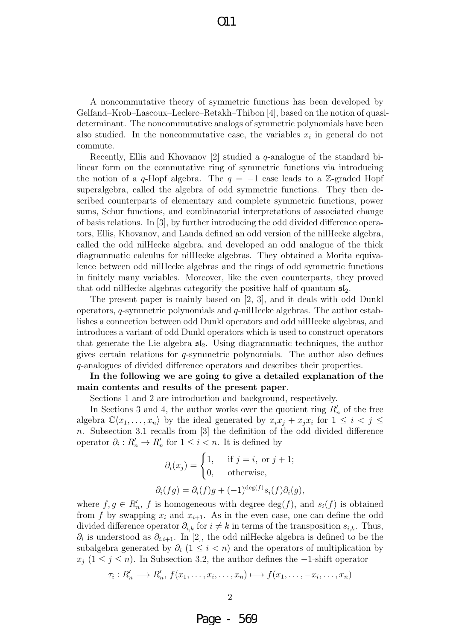A noncommutative theory of symmetric functions has been developed by Gelfand–Krob–Lascoux–Leclerc–Retakh–Thibon [4], based on the notion of quasideterminant. The noncommutative analogs of symmetric polynomials have been also studied. In the noncommutative case, the variables  $x_i$  in general do not commute.

Recently, Ellis and Khovanov [2] studied a q-analogue of the standard bilinear form on the commutative ring of symmetric functions via introducing the notion of a q-Hopf algebra. The  $q = -1$  case leads to a Z-graded Hopf superalgebra, called the algebra of odd symmetric functions. They then described counterparts of elementary and complete symmetric functions, power sums, Schur functions, and combinatorial interpretations of associated change of basis relations. In [3], by further introducing the odd divided difference operators, Ellis, Khovanov, and Lauda defined an odd version of the nilHecke algebra, called the odd nilHecke algebra, and developed an odd analogue of the thick diagrammatic calculus for nilHecke algebras. They obtained a Morita equivalence between odd nilHecke algebras and the rings of odd symmetric functions in finitely many variables. Moreover, like the even counterparts, they proved that odd nilHecke algebras categorify the positive half of quantum  $\mathfrak{sl}_2$ .

The present paper is mainly based on [2, 3], and it deals with odd Dunkl operators,  $q$ -symmetric polynomials and  $q$ -nilHecke algebras. The author establishes a connection between odd Dunkl operators and odd nilHecke algebras, and introduces a variant of odd Dunkl operators which is used to construct operators that generate the Lie algebra  $\mathfrak{sl}_2$ . Using diagrammatic techniques, the author gives certain relations for q-symmetric polynomials. The author also defines q-analogues of divided difference operators and describes their properties.

In the following we are going to give a detailed explanation of the main contents and results of the present paper.

Sections 1 and 2 are introduction and background, respectively.

In Sections 3 and 4, the author works over the quotient ring  $R_n'$  of the free algebra  $\mathbb{C}\langle x_1,\ldots,x_n\rangle$  by the ideal generated by  $x_ix_j + x_jx_i$  for  $1 \leq i < j \leq$ n. Subsection 3.1 recalls from [3] the definition of the odd divided difference operator  $\partial_i: R'_n \to R'_n$  for  $1 \leq i < n$ . It is defined by

$$
\partial_i(x_j) = \begin{cases} 1, & \text{if } j = i, \text{ or } j + 1; \\ 0, & \text{otherwise,} \end{cases}
$$

$$
\partial_i(fg) = \partial_i(f)g + (-1)^{\deg(f)} s_i(f) \partial_i(g),
$$

where  $f, g \in R'_n$ , f is homogeneous with degree  $deg(f)$ , and  $s_i(f)$  is obtained from f by swapping  $x_i$  and  $x_{i+1}$ . As in the even case, one can define the odd divided difference operator  $\partial_{i,k}$  for  $i \neq k$  in terms of the transposition  $s_{i,k}$ . Thus,  $\partial_i$  is understood as  $\partial_{i,i+1}$ . In [2], the odd nilHecke algebra is defined to be the subalgebra generated by  $\partial_i$  (1 ≤ i < n) and the operators of multiplication by  $x_j$  (1 ≤ j ≤ n). In Subsection 3.2, the author defines the -1-shift operator

$$
\tau_i: R'_n \longrightarrow R'_n, \ f(x_1, \ldots, x_i, \ldots, x_n) \longmapsto f(x_1, \ldots, -x_i, \ldots, x_n)
$$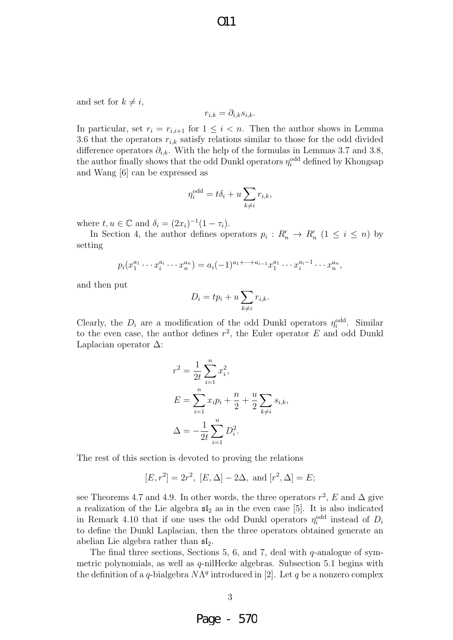and set for  $k \neq i$ ,

$$
r_{i,k} = \partial_{i,k} s_{i,k}.
$$

In particular, set  $r_i = r_{i,i+1}$  for  $1 \leq i \leq n$ . Then the author shows in Lemma 3.6 that the operators  $r_{i,k}$  satisfy relations similar to those for the odd divided difference operators  $\partial_{i,k}$ . With the help of the formulas in Lemmas 3.7 and 3.8, the author finally shows that the odd Dunkl operators  $\eta_i^{\text{odd}}$  defined by Khongsap and Wang [6] can be expressed as

$$
\eta_i^{\text{odd}} = t\delta_i + u \sum_{k \neq i} r_{i,k},
$$

where  $t, u \in \mathbb{C}$  and  $\delta_i = (2x_i)^{-1}(1 - \tau_i)$ .

In Section 4, the author defines operators  $p_i: R'_n \to R'_n$   $(1 \leq i \leq n)$  by setting

$$
p_i(x_1^{a_1}\cdots x_i^{a_i}\cdots x_n^{a_n}) = a_i(-1)^{a_1+\cdots+a_{i-1}}x_1^{a_1}\cdots x_i^{a_i-1}\cdots x_n^{a_n},
$$

and then put

$$
D_i = tp_i + u \sum_{k \neq i} r_{i,k}.
$$

Clearly, the  $D_i$  are a modification of the odd Dunkl operators  $\eta_i^{\text{odd}}$ . Similar to the even case, the author defines  $r^2$ , the Euler operator E and odd Dunkl Laplacian operator ∆:

$$
r^{2} = \frac{1}{2t} \sum_{i=1}^{n} x_{i}^{2},
$$
  
\n
$$
E = \sum_{i=1}^{n} x_{i} p_{i} + \frac{n}{2} + \frac{u}{2} \sum_{k \neq i} s_{i,k},
$$
  
\n
$$
\Delta = -\frac{1}{2t} \sum_{i=1}^{n} D_{i}^{2}.
$$

The rest of this section is devoted to proving the relations

$$
[E, r^2] = 2r^2
$$
,  $[E, \Delta] - 2\Delta$ , and  $[r^2, \Delta] = E$ ;

see Theorems 4.7 and 4.9. In other words, the three operators  $r^2$ , E and  $\Delta$  give a realization of the Lie algebra  $5I_2$  as in the even case [5]. It is also indicated in Remark 4.10 that if one uses the odd Dunkl operators  $\eta_i^{\text{odd}}$  instead of  $D_i$ to define the Dunkl Laplacian, then the three operators obtained generate an abelian Lie algebra rather than  $\mathfrak{sl}_2$ .

The final three sections, Sections 5, 6, and 7, deal with  $q$ -analogue of symmetric polynomials, as well as q-nilHecke algebras. Subsection 5.1 begins with the definition of a q-bialgebra  $N\Lambda^q$  introduced in [2]. Let q be a nonzero complex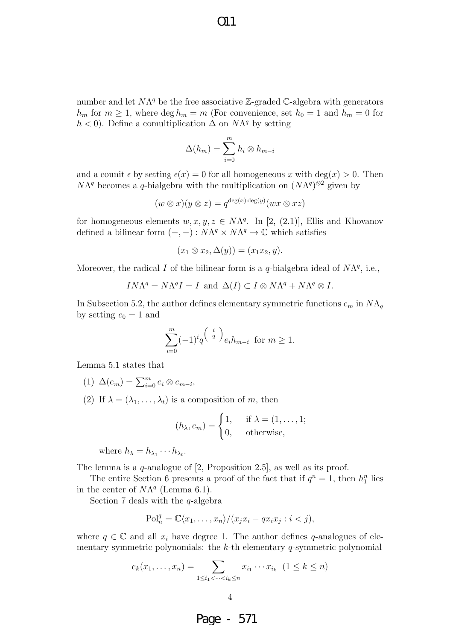$O11$ 

number and let  $N\Lambda^q$  be the free associative  $\mathbb{Z}$ -graded C-algebra with generators  $h_m$  for  $m \geq 1$ , where  $\deg h_m = m$  (For convenience, set  $h_0 = 1$  and  $h_m = 0$  for  $h < 0$ ). Define a comultiplication  $\Delta$  on  $N\Lambda^q$  by setting

$$
\Delta(h_m) = \sum_{i=0}^{m} h_i \otimes h_{m-i}
$$

and a counit  $\epsilon$  by setting  $\epsilon(x) = 0$  for all homogeneous x with deg(x) > 0. Then  $N\Lambda^{q}$  becomes a q-bialgebra with the multiplication on  $(N\Lambda^{q})^{\otimes 2}$  given by

$$
(w \otimes x)(y \otimes z) = q^{\deg(x) \deg(y)}(wx \otimes xz)
$$

for homogeneous elements  $w, x, y, z \in N\Lambda<sup>q</sup>$ . In [2, (2.1)], Ellis and Khovanov defined a bilinear form  $(-, -) : N\Lambda^q \times N\Lambda^q \to \mathbb{C}$  which satisfies

$$
(x_1 \otimes x_2, \Delta(y)) = (x_1 x_2, y).
$$

Moreover, the radical I of the bilinear form is a q-bialgebra ideal of  $N\Lambda^{q}$ , i.e.,

$$
IN\Lambda^{q} = N\Lambda^{q}I = I
$$
 and  $\Delta(I) \subset I \otimes N\Lambda^{q} + N\Lambda^{q} \otimes I$ .

In Subsection 5.2, the author defines elementary symmetric functions  $e_m$  in  $N\Lambda_q$ by setting  $e_0 = 1$  and

$$
\sum_{i=0}^{m} (-1)^{i} q^{\binom{i}{2}} e_i h_{m-i} \text{ for } m \ge 1.
$$

Lemma 5.1 states that

- (1)  $\Delta(e_m) = \sum_{i=0}^m e_i \otimes e_{m-i},$
- (2) If  $\lambda = (\lambda_1, \ldots, \lambda_t)$  is a composition of m, then

$$
(h_{\lambda}, e_m) = \begin{cases} 1, & \text{if } \lambda = (1, \dots, 1; \\ 0, & \text{otherwise,} \end{cases}
$$

where  $h_{\lambda} = h_{\lambda_1} \cdots h_{\lambda_t}$ .

The lemma is a q-analogue of [2, Proposition 2.5], as well as its proof.

The entire Section 6 presents a proof of the fact that if  $q^n = 1$ , then  $h_1^n$  lies in the center of  $N\Lambda^q$  (Lemma 6.1).

Section 7 deals with the  $q$ -algebra

$$
\mathrm{Pol}_n^q = \mathbb{C}\langle x_1, \dots, x_n \rangle / (x_j x_i - q x_i x_j : i < j),
$$

where  $q \in \mathbb{C}$  and all  $x_i$  have degree 1. The author defines q-analogues of elementary symmetric polynomials: the  $k$ -th elementary  $q$ -symmetric polynomial

$$
e_k(x_1,...,x_n) = \sum_{1 \le i_1 < \dots < i_k \le n} x_{i_1} \cdots x_{i_k} \ (1 \le k \le n)
$$

Page - 571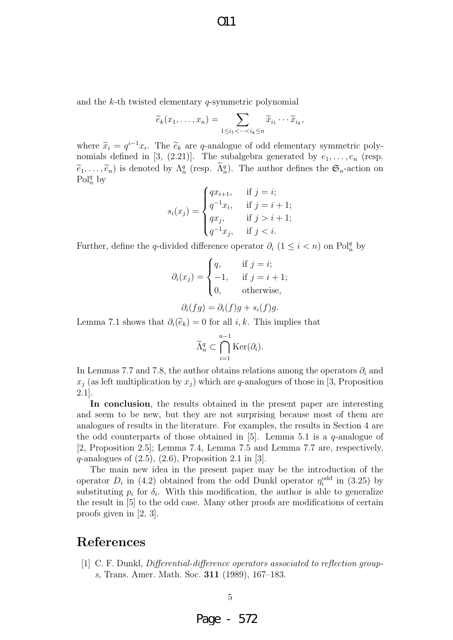and the  $k$ -th twisted elementary q-symmetric polynomial

$$
\widetilde{e}_k(x_1,\ldots,x_n)=\sum_{1\leq i_1<\cdots
$$

where  $\tilde{x}_i = q^{i-1}x_i$ . The  $\tilde{e}_k$  are q-analogue of odd elementary symmetric poly-<br>nomials defined in [3, (2, 21)]. The subalgebra generated by  $e_i$  (resp. nomials defined in [3, (2.21)]. The subalgebra generated by  $e_1, \ldots, e_n$  (resp.  $(\widetilde{e}_1,\ldots,\widetilde{e}_n)$  is denoted by  $\Lambda_n^q$  (resp.  $(\widetilde{\Lambda}_n^q)$ ). The author defines the  $\mathfrak{S}_n$ -action on  $\mathrm{Pol}^q$  by  $Pol_n^q$  by

$$
s_i(x_j) = \begin{cases} qx_{i+1}, & \text{if } j = i; \\ q^{-1}x_i, & \text{if } j = i+1; \\ qx_j, & \text{if } j > i+1; \\ q^{-1}x_j, & \text{if } j < i. \end{cases}
$$

Further, define the q-divided difference operator  $\partial_i$  (1 ≤ i < n) on Pol<sup>q</sup><sub>n</sub> by

$$
\partial_i(x_j) = \begin{cases} q, & \text{if } j = i; \\ -1, & \text{if } j = i + 1; \\ 0, & \text{otherwise,} \end{cases}
$$

$$
\partial_i(fg) = \partial_i(f)g + s_i(f)g.
$$

Lemma 7.1 shows that  $\partial_i(\widetilde{e}_k) = 0$  for all *i*, *k*. This implies that

$$
\widetilde{\Lambda}_n^q \subset \bigcap_{i=1}^{n-1} \text{Ker}(\partial_i).
$$

In Lemmas 7.7 and 7.8, the author obtains relations among the operators  $\partial_i$  and  $x_i$  (as left multiplication by  $x_i$ ) which are q-analogues of those in [3, Proposition 2.1].

In conclusion, the results obtained in the present paper are interesting and seem to be new, but they are not surprising because most of them are analogues of results in the literature. For examples, the results in Section 4 are the odd counterparts of those obtained in [5]. Lemma 5.1 is a  $q$ -analogue of [2, Proposition 2.5]; Lemma 7.4, Lemma 7.5 and Lemma 7.7 are, respectively,  $q$ -analogues of  $(2.5)$ ,  $(2.6)$ , Proposition 2.1 in [3].

The main new idea in the present paper may be the introduction of the operator  $D_i$  in (4.2) obtained from the odd Dunkl operator  $\eta_i^{\text{odd}}$  in (3.25) by substituting  $p_i$  for  $\delta_i$ . With this modification, the author is able to generalize the result in [5] to the odd case. Many other proofs are modifications of certain proofs given in [2, 3].

# References

[1] C. F. Dunkl, Differential-difference operators associated to reflection groups, Trans. Amer. Math. Soc. 311 (1989), 167–183.

Page - 572

5